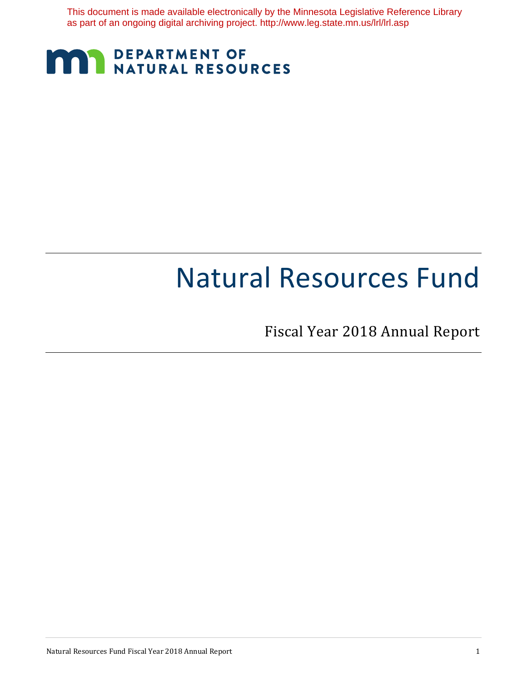This document is made available electronically by the Minnesota Legislative Reference Library as part of an ongoing digital archiving project. http://www.leg.state.mn.us/lrl/lrl.asp

# **MARIA DEPARTMENT OF NATURAL RESOURCES**

# Natural Resources Fund

Fiscal Year 2018 Annual Report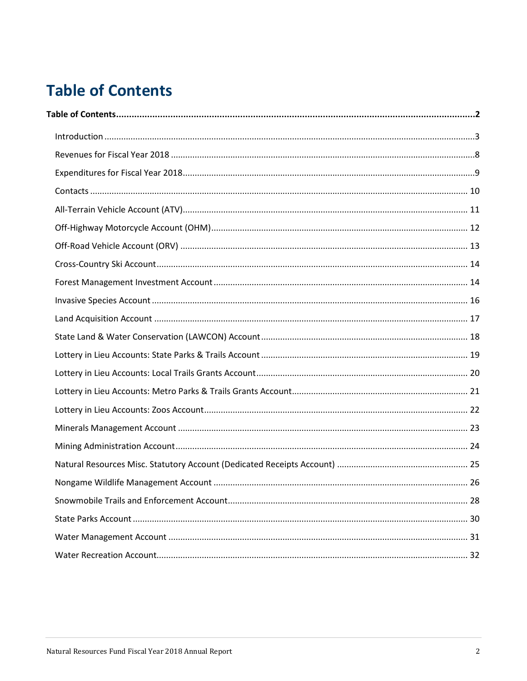# <span id="page-1-0"></span>**Table of Contents**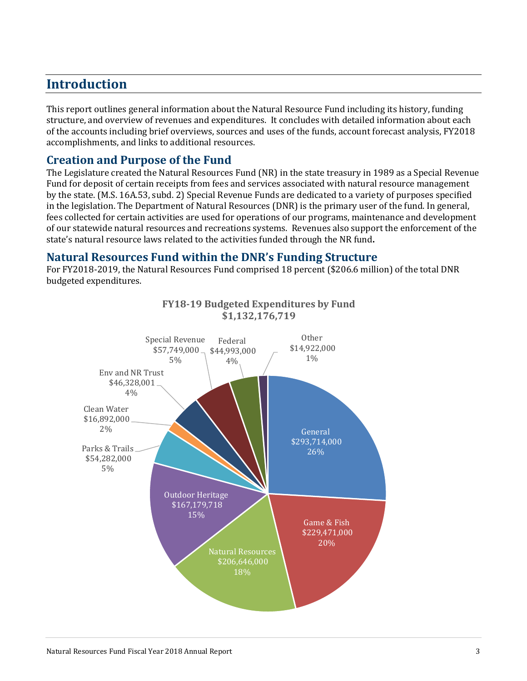# <span id="page-2-0"></span>**Introduction**

This report outlines general information about the Natural Resource Fund including its history, funding structure, and overview of revenues and expenditures. It concludes with detailed information about each of the accounts including brief overviews, sources and uses of the funds, account forecast analysis, FY2018 accomplishments, and links to additional resources.

### **Creation and Purpose of the Fund**

The Legislature created the Natural Resources Fund (NR) in the state treasury in 1989 as a Special Revenue Fund for deposit of certain receipts from fees and services associated with natural resource management by the state. (M.S. 16A.53, subd. 2) Special Revenue Funds are dedicated to a variety of purposes specified in the legislation. The Department of Natural Resources (DNR) is the primary user of the fund. In general, fees collected for certain activities are used for operations of our programs, maintenance and development of our statewide natural resources and recreations systems. Revenues also support the enforcement of the state's natural resource laws related to the activities funded through the NR fund**.**

#### **Natural Resources Fund within the DNR's Funding Structure**

For FY2018-2019, the Natural Resources Fund comprised 18 percent (\$206.6 million) of the total DNR budgeted expenditures.

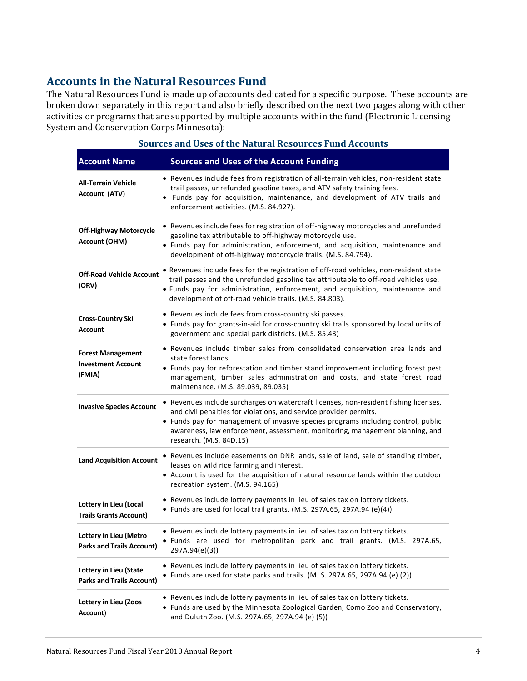# **Accounts in the Natural Resources Fund**

The Natural Resources Fund is made up of accounts dedicated for a specific purpose. These accounts are broken down separately in this report and also briefly described on the next two pages along with other activities or programs that are supported by multiple accounts within the fund (Electronic Licensing System and Conservation Corps Minnesota):

| <b>Sources and Uses of the Natural Resources Fund Accounts</b>  |                                                                                                                                                                                                                                                                                                                                                           |  |
|-----------------------------------------------------------------|-----------------------------------------------------------------------------------------------------------------------------------------------------------------------------------------------------------------------------------------------------------------------------------------------------------------------------------------------------------|--|
| <b>Account Name</b>                                             | <b>Sources and Uses of the Account Funding</b>                                                                                                                                                                                                                                                                                                            |  |
| <b>All-Terrain Vehicle</b><br>Account (ATV)                     | • Revenues include fees from registration of all-terrain vehicles, non-resident state<br>trail passes, unrefunded gasoline taxes, and ATV safety training fees.<br>• Funds pay for acquisition, maintenance, and development of ATV trails and<br>enforcement activities. (M.S. 84.927).                                                                  |  |
| <b>Off-Highway Motorcycle</b><br><b>Account (OHM)</b>           | • Revenues include fees for registration of off-highway motorcycles and unrefunded<br>gasoline tax attributable to off-highway motorcycle use.<br>• Funds pay for administration, enforcement, and acquisition, maintenance and<br>development of off-highway motorcycle trails. (M.S. 84.794).                                                           |  |
| <b>Off-Road Vehicle Account</b><br>(ORV)                        | . Revenues include fees for the registration of off-road vehicles, non-resident state<br>trail passes and the unrefunded gasoline tax attributable to off-road vehicles use.<br>. Funds pay for administration, enforcement, and acquisition, maintenance and<br>development of off-road vehicle trails. (M.S. 84.803).                                   |  |
| <b>Cross-Country Ski</b><br><b>Account</b>                      | • Revenues include fees from cross-country ski passes.<br>• Funds pay for grants-in-aid for cross-country ski trails sponsored by local units of<br>government and special park districts. (M.S. 85.43)                                                                                                                                                   |  |
| <b>Forest Management</b><br><b>Investment Account</b><br>(FMIA) | • Revenues include timber sales from consolidated conservation area lands and<br>state forest lands.<br>• Funds pay for reforestation and timber stand improvement including forest pest<br>management, timber sales administration and costs, and state forest road<br>maintenance. (M.S. 89.039, 89.035)                                                |  |
| <b>Invasive Species Account</b>                                 | • Revenues include surcharges on watercraft licenses, non-resident fishing licenses,<br>and civil penalties for violations, and service provider permits.<br>• Funds pay for management of invasive species programs including control, public<br>awareness, law enforcement, assessment, monitoring, management planning, and<br>research. (M.S. 84D.15) |  |
| <b>Land Acquisition Account</b>                                 | • Revenues include easements on DNR lands, sale of land, sale of standing timber,<br>leases on wild rice farming and interest.<br>• Account is used for the acquisition of natural resource lands within the outdoor<br>recreation system. (M.S. 94.165)                                                                                                  |  |
| Lottery in Lieu (Local<br><b>Trails Grants Account)</b>         | • Revenues include lottery payments in lieu of sales tax on lottery tickets.<br>• Funds are used for local trail grants. (M.S. 297A.65, 297A.94 (e)(4))                                                                                                                                                                                                   |  |
| Lottery in Lieu (Metro<br><b>Parks and Trails Account)</b>      | • Revenues include lottery payments in lieu of sales tax on lottery tickets.<br>• Funds are used for metropolitan park and trail grants. (M.S. 297A.65,<br>297A.94(e)(3))                                                                                                                                                                                 |  |
| Lottery in Lieu (State<br><b>Parks and Trails Account)</b>      | • Revenues include lottery payments in lieu of sales tax on lottery tickets.<br>• Funds are used for state parks and trails. (M. S. 297A.65, 297A.94 (e) (2))                                                                                                                                                                                             |  |
| Lottery in Lieu (Zoos<br>Account)                               | • Revenues include lottery payments in lieu of sales tax on lottery tickets.<br>• Funds are used by the Minnesota Zoological Garden, Como Zoo and Conservatory,<br>and Duluth Zoo. (M.S. 297A.65, 297A.94 (e) (5))                                                                                                                                        |  |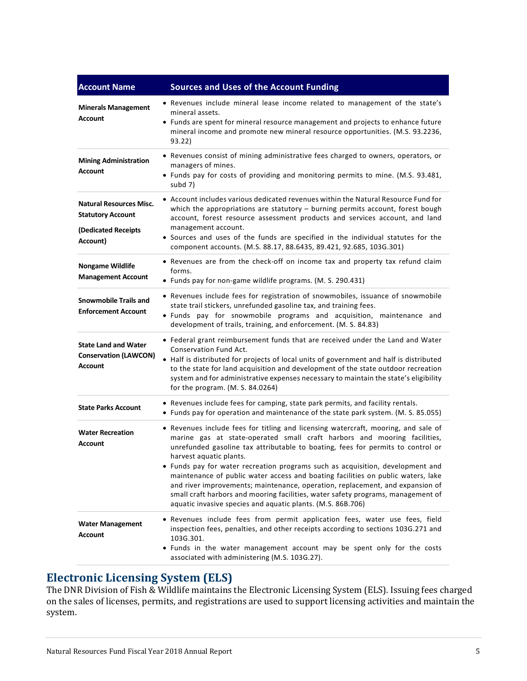| <b>Account Name</b>                                                                           | <b>Sources and Uses of the Account Funding</b>                                                                                                                                                                                                                                                                                                                                                                                                                                                                                                                                                                                                                                         |
|-----------------------------------------------------------------------------------------------|----------------------------------------------------------------------------------------------------------------------------------------------------------------------------------------------------------------------------------------------------------------------------------------------------------------------------------------------------------------------------------------------------------------------------------------------------------------------------------------------------------------------------------------------------------------------------------------------------------------------------------------------------------------------------------------|
| <b>Minerals Management</b><br><b>Account</b>                                                  | • Revenues include mineral lease income related to management of the state's<br>mineral assets.<br>• Funds are spent for mineral resource management and projects to enhance future<br>mineral income and promote new mineral resource opportunities. (M.S. 93.2236,<br>93.22)                                                                                                                                                                                                                                                                                                                                                                                                         |
| <b>Mining Administration</b><br><b>Account</b>                                                | • Revenues consist of mining administrative fees charged to owners, operators, or<br>managers of mines.<br>• Funds pay for costs of providing and monitoring permits to mine. (M.S. 93.481,<br>subd 7)                                                                                                                                                                                                                                                                                                                                                                                                                                                                                 |
| <b>Natural Resources Misc.</b><br><b>Statutory Account</b><br>(Dedicated Receipts<br>Account) | • Account includes various dedicated revenues within the Natural Resource Fund for<br>which the appropriations are statutory - burning permits account, forest bough<br>account, forest resource assessment products and services account, and land<br>management account.<br>• Sources and uses of the funds are specified in the individual statutes for the<br>component accounts. (M.S. 88.17, 88.6435, 89.421, 92.685, 103G.301)                                                                                                                                                                                                                                                  |
| <b>Nongame Wildlife</b><br><b>Management Account</b>                                          | • Revenues are from the check-off on income tax and property tax refund claim<br>forms.<br>• Funds pay for non-game wildlife programs. (M. S. 290.431)                                                                                                                                                                                                                                                                                                                                                                                                                                                                                                                                 |
| <b>Snowmobile Trails and</b><br><b>Enforcement Account</b>                                    | • Revenues include fees for registration of snowmobiles, issuance of snowmobile<br>state trail stickers, unrefunded gasoline tax, and training fees.<br>• Funds pay for snowmobile programs and acquisition, maintenance and<br>development of trails, training, and enforcement. (M. S. 84.83)                                                                                                                                                                                                                                                                                                                                                                                        |
| <b>State Land and Water</b><br><b>Conservation (LAWCON)</b><br><b>Account</b>                 | • Federal grant reimbursement funds that are received under the Land and Water<br>Conservation Fund Act.<br>• Half is distributed for projects of local units of government and half is distributed<br>to the state for land acquisition and development of the state outdoor recreation<br>system and for administrative expenses necessary to maintain the state's eligibility<br>for the program. (M. S. 84.0264)                                                                                                                                                                                                                                                                   |
| <b>State Parks Account</b>                                                                    | • Revenues include fees for camping, state park permits, and facility rentals.<br>• Funds pay for operation and maintenance of the state park system. (M. S. 85.055)                                                                                                                                                                                                                                                                                                                                                                                                                                                                                                                   |
| <b>Water Recreation</b><br><b>Account</b>                                                     | • Revenues include fees for titling and licensing watercraft, mooring, and sale of<br>marine gas at state-operated small craft harbors and mooring facilities,<br>unrefunded gasoline tax attributable to boating, fees for permits to control or<br>harvest aquatic plants.<br>• Funds pay for water recreation programs such as acquisition, development and<br>maintenance of public water access and boating facilities on public waters, lake<br>and river improvements; maintenance, operation, replacement, and expansion of<br>small craft harbors and mooring facilities, water safety programs, management of<br>aquatic invasive species and aquatic plants. (M.S. 86B.706) |
| <b>Water Management</b><br><b>Account</b>                                                     | Revenues include fees from permit application fees, water use fees, field<br>inspection fees, penalties, and other receipts according to sections 103G.271 and<br>103G.301.<br>• Funds in the water management account may be spent only for the costs<br>associated with administering (M.S. 103G.27).                                                                                                                                                                                                                                                                                                                                                                                |

# **Electronic Licensing System (ELS)**

The DNR Division of Fish & Wildlife maintains the Electronic Licensing System (ELS). Issuing fees charged on the sales of licenses, permits, and registrations are used to support licensing activities and maintain the system.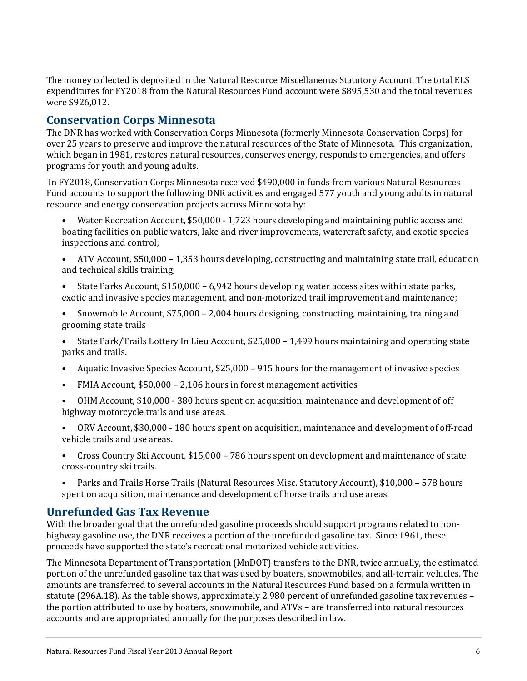The money collected is deposited in the Natural Resource Miscellaneous Statutory Account. The total ELS expenditures for FY2018 from the Natural Resources Fund account were \$895,530 and the total revenues were \$926,012.

# **Conservation Corps Minnesota**

The DNR has worked with Conservation Corps Minnesota (formerly Minnesota Conservation Corps) for over 25 years to preserve and improve the natural resources of the State of Minnesota. This organization, which began in 1981, restores natural resources, conserves energy, responds to emergencies, and offers programs for youth and young adults.

In FY2018, Conservation Corps Minnesota received \$490,000 in funds from various Natural Resources Fund accounts to support the following DNR activities and engaged 577 youth and young adults in natural resource and energy conservation projects across Minnesota by:

- Water Recreation Account, \$50,000 1,723 hours developing and maintaining public access and boating facilities on public waters, lake and river improvements, watercraft safety, and exotic species inspections and control;
- ATV Account, \$50,000 1,353 hours developing, constructing and maintaining state trail, education and technical skills training;
- State Parks Account, \$150,000 6,942 hours developing water access sites within state parks, exotic and invasive species management, and non-motorized trail improvement and maintenance;
- Snowmobile Account, \$75,000 2,004 hours designing, constructing, maintaining, training and grooming state trails
- State Park/Trails Lottery In Lieu Account, \$25,000 1,499 hours maintaining and operating state parks and trails.
- Aquatic Invasive Species Account, \$25,000 915 hours for the management of invasive species
- FMIA Account, \$50,000 2,106 hours in forest management activities
- OHM Account, \$10,000 380 hours spent on acquisition, maintenance and development of off highway motorcycle trails and use areas.
- ORV Account, \$30,000 180 hours spent on acquisition, maintenance and development of off-road vehicle trails and use areas.
- Cross Country Ski Account, \$15,000 786 hours spent on development and maintenance of state cross-country ski trails.
- Parks and Trails Horse Trails (Natural Resources Misc. Statutory Account), \$10,000 578 hours spent on acquisition, maintenance and development of horse trails and use areas.

### **Unrefunded Gas Tax Revenue**

With the broader goal that the unrefunded gasoline proceeds should support programs related to nonhighway gasoline use, the DNR receives a portion of the unrefunded gasoline tax. Since 1961, these proceeds have supported the state's recreational motorized vehicle activities.

The Minnesota Department of Transportation (MnDOT) transfers to the DNR, twice annually, the estimated portion of the unrefunded gasoline tax that was used by boaters, snowmobiles, and all-terrain vehicles. The amounts are transferred to several accounts in the Natural Resources Fund based on a formula written in statute (296A.18). As the table shows, approximately 2.980 percent of unrefunded gasoline tax revenues – the portion attributed to use by boaters, snowmobile, and ATVs – are transferred into natural resources accounts and are appropriated annually for the purposes described in law.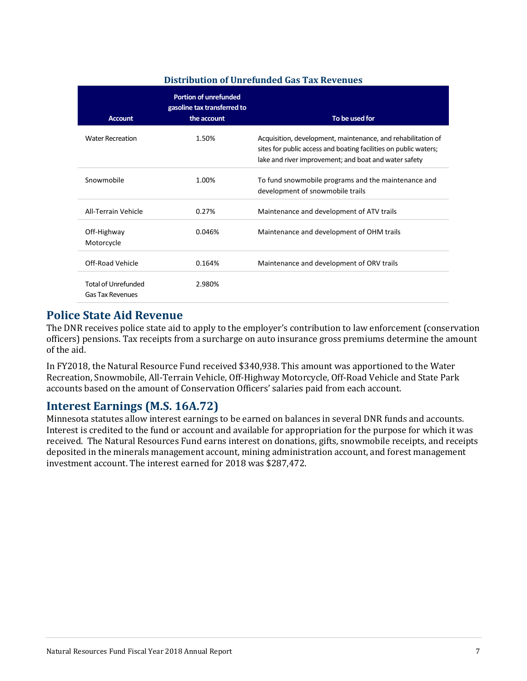#### **Distribution of Unrefunded Gas Tax Revenues**

| <b>Account</b>                                        | <b>Portion of unrefunded</b><br>gasoline tax transferred to<br>the account | To be used for                                                                                                                                                                            |
|-------------------------------------------------------|----------------------------------------------------------------------------|-------------------------------------------------------------------------------------------------------------------------------------------------------------------------------------------|
| <b>Water Recreation</b>                               | 1.50%                                                                      | Acquisition, development, maintenance, and rehabilitation of<br>sites for public access and boating facilities on public waters;<br>lake and river improvement; and boat and water safety |
| Snowmobile                                            | 1.00%                                                                      | To fund snowmobile programs and the maintenance and<br>development of snowmobile trails                                                                                                   |
| All-Terrain Vehicle                                   | 0.27%                                                                      | Maintenance and development of ATV trails                                                                                                                                                 |
| Off-Highway<br>Motorcycle                             | 0.046%                                                                     | Maintenance and development of OHM trails                                                                                                                                                 |
| Off-Road Vehicle                                      | 0.164%                                                                     | Maintenance and development of ORV trails                                                                                                                                                 |
| <b>Total of Unrefunded</b><br><b>Gas Tax Revenues</b> | 2.980%                                                                     |                                                                                                                                                                                           |

#### **Police State Aid Revenue**

The DNR receives police state aid to apply to the employer's contribution to law enforcement (conservation officers) pensions. Tax receipts from a surcharge on auto insurance gross premiums determine the amount of the aid.

In FY2018, the Natural Resource Fund received \$340,938. This amount was apportioned to the Water Recreation, Snowmobile, All-Terrain Vehicle, Off-Highway Motorcycle, Off-Road Vehicle and State Park accounts based on the amount of Conservation Officers' salaries paid from each account.

### **Interest Earnings (M.S. 16A.72)**

<span id="page-6-0"></span>Minnesota statutes allow interest earnings to be earned on balances in several DNR funds and accounts. Interest is credited to the fund or account and available for appropriation for the purpose for which it was received. The Natural Resources Fund earns interest on donations, gifts, snowmobile receipts, and receipts deposited in the minerals management account, mining administration account, and forest management investment account. The interest earned for 2018 was \$287,472.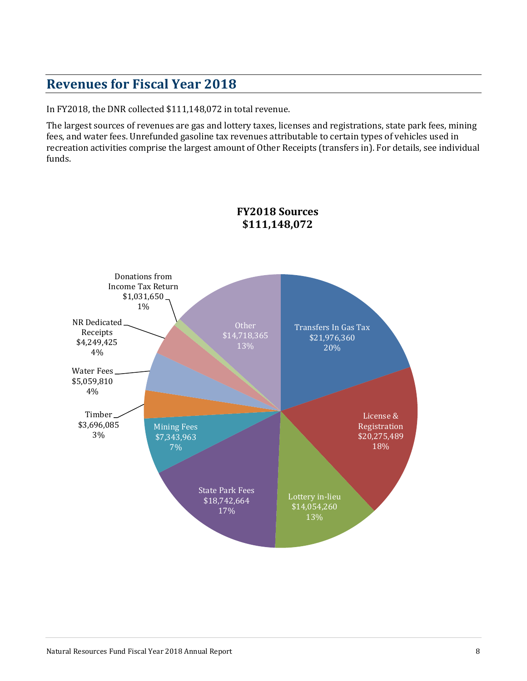# **Revenues for Fiscal Year 2018**

In FY2018, the DNR collected \$111,148,072 in total revenue.

The largest sources of revenues are gas and lottery taxes, licenses and registrations, state park fees, mining fees, and water fees. Unrefunded gasoline tax revenues attributable to certain types of vehicles used in recreation activities comprise the largest amount of Other Receipts (transfers in). For details, see individual funds.

<span id="page-7-0"></span>

#### **FY2018 Sources \$111,148,072**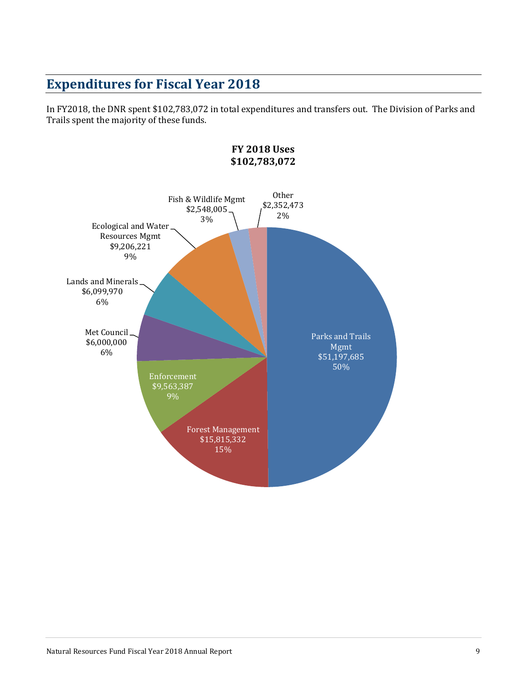# **Expenditures for Fiscal Year 2018**

In FY2018, the DNR spent \$102,783,072 in total expenditures and transfers out. The Division of Parks and Trails spent the majority of these funds.

<span id="page-8-0"></span>

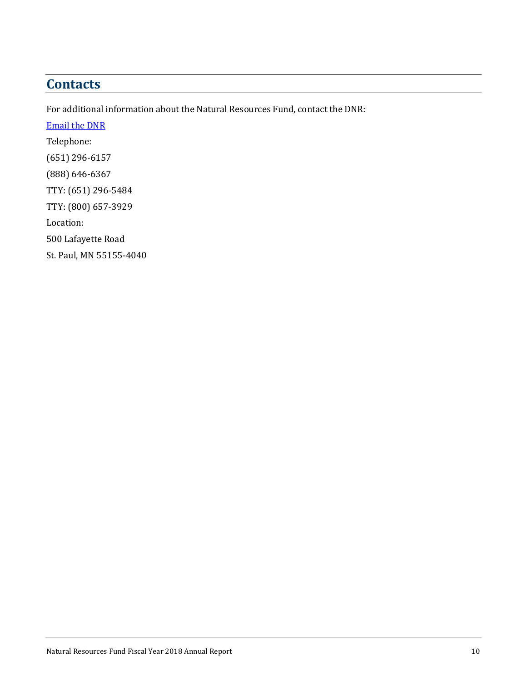# **Contacts**

For additional information about the Natural Resources Fund, contact the DNR: [Email](mailto:info.dnr@state.mn.us) the DNR Telephone: (651) 296-6157 (888) 646-6367 TTY: (651) 296-5484 TTY: (800) 657-3929 Location: 500 Lafayette Road

St. Paul, MN 55155-4040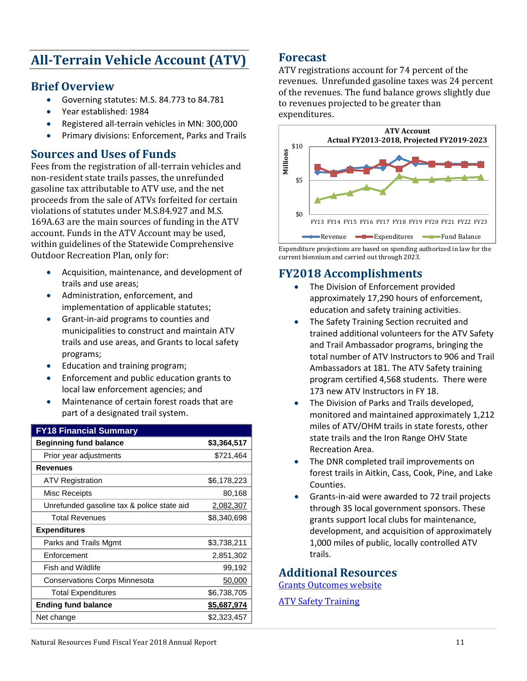# <span id="page-10-0"></span>**All-Terrain Vehicle Account (ATV)**

### **Brief Overview**

- Governing statutes: M.S. 84.773 to 84.781
- Year established: 1984
- Registered all-terrain vehicles in MN: 300,000
- Primary divisions: Enforcement, Parks and Trails

# **Sources and Uses of Funds**

Fees from the registration of all-terrain vehicles and non-resident state trails passes, the unrefunded gasoline tax attributable to ATV use, and the net proceeds from the sale of ATVs forfeited for certain violations of statutes under M.S.84.927 and M.S. 169A.63 are the main sources of funding in the ATV account. Funds in the ATV Account may be used, within guidelines of the Statewide Comprehensive Outdoor Recreation Plan, only for:

- Acquisition, maintenance, and development of trails and use areas;
- Administration, enforcement, and implementation of applicable statutes;
- Grant-in-aid programs to counties and municipalities to construct and maintain ATV trails and use areas, and Grants to local safety programs;
- Education and training program;
- Enforcement and public education grants to local law enforcement agencies; and
- Maintenance of certain forest roads that are part of a designated trail system.

| <b>FY18 Financial Summary</b>              |             |
|--------------------------------------------|-------------|
| <b>Beginning fund balance</b>              | \$3,364,517 |
| Prior year adjustments                     | \$721,464   |
| <b>Revenues</b>                            |             |
| <b>ATV Registration</b>                    | \$6,178,223 |
| Misc Receipts                              | 80,168      |
| Unrefunded gasoline tax & police state aid | 2,082,307   |
| <b>Total Revenues</b>                      | \$8,340,698 |
| <b>Expenditures</b>                        |             |
| Parks and Trails Mgmt                      | \$3,738,211 |
| Enforcement                                | 2,851,302   |
| <b>Fish and Wildlife</b>                   | 99,192      |
| <b>Conservations Corps Minnesota</b>       | 50,000      |
| <b>Total Expenditures</b>                  | \$6,738,705 |
| <b>Ending fund balance</b>                 | \$5,687,974 |
| Net change                                 | \$2,323,457 |

### **Forecast**

ATV registrations account for 74 percent of the revenues. Unrefunded gasoline taxes was 24 percent of the revenues. The fund balance grows slightly due to revenues projected to be greater than expenditures.



Expenditure projections are based on spending authorized in law for the current biennium and carried out through 2023.

# **FY2018 Accomplishments**

- The Division of Enforcement provided approximately 17,290 hours of enforcement, education and safety training activities.
- The Safety Training Section recruited and trained additional volunteers for the ATV Safety and Trail Ambassador programs, bringing the total number of ATV Instructors to 906 and Trail Ambassadors at 181. The ATV Safety training program certified 4,568 students. There were 173 new ATV Instructors in FY 18.
- The Division of Parks and Trails developed, monitored and maintained approximately 1,212 miles of ATV/OHM trails in state forests, other state trails and the Iron Range OHV State Recreation Area.
- The DNR completed trail improvements on forest trails in Aitkin, Cass, Cook, Pine, and Lake Counties.
- Grants-in-aid were awarded to 72 trail projects through 35 local government sponsors. These grants support local clubs for maintenance, development, and acquisition of approximately 1,000 miles of public, locally controlled ATV trails.

### **Additional Resources**

[Grants Outcomes website](http://www.dnr.state.mn.us/grants/outcomes/index.html)

ATV Safety [Training](http://www.dnr.state.mn.us/safety/vehicle/atv/index.html)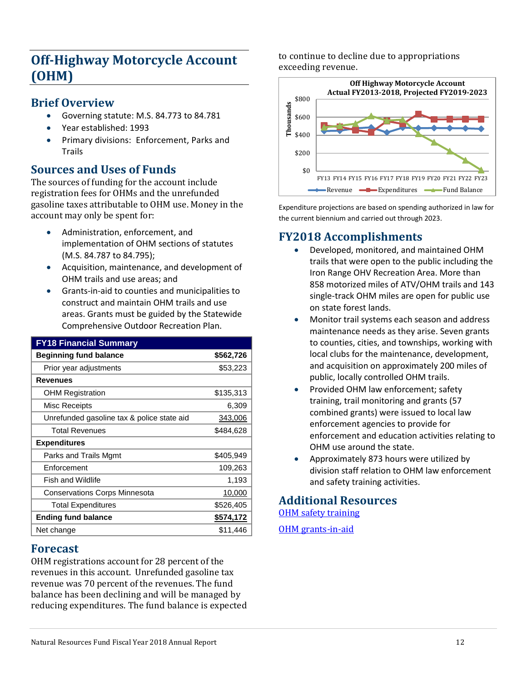# <span id="page-11-0"></span>**Off-Highway Motorcycle Account (OHM)**

### **Brief Overview**

- Governing statute: M.S. 84.773 to 84.781
- Year established: 1993
- Primary divisions: Enforcement, Parks and Trails

# **Sources and Uses of Funds**

The sources of funding for the account include registration fees for OHMs and the unrefunded gasoline taxes attributable to OHM use. Money in the account may only be spent for:

- Administration, enforcement, and implementation of OHM sections of statutes (M.S. 84.787 to 84.795);
- Acquisition, maintenance, and development of OHM trails and use areas; and
- Grants-in-aid to counties and municipalities to construct and maintain OHM trails and use areas. Grants must be guided by the Statewide Comprehensive Outdoor Recreation Plan.

| <b>FY18 Financial Summary</b>              |           |
|--------------------------------------------|-----------|
| <b>Beginning fund balance</b>              | \$562,726 |
| Prior year adjustments                     | \$53,223  |
| <b>Revenues</b>                            |           |
| <b>OHM Registration</b>                    | \$135,313 |
| Misc Receipts                              | 6,309     |
| Unrefunded gasoline tax & police state aid | 343,006   |
| <b>Total Revenues</b>                      | \$484,628 |
| <b>Expenditures</b>                        |           |
| Parks and Trails Mgmt                      | \$405,949 |
| Enforcement                                | 109,263   |
| <b>Fish and Wildlife</b>                   | 1,193     |
| <b>Conservations Corps Minnesota</b>       | 10,000    |
| <b>Total Expenditures</b>                  | \$526,405 |
| <b>Ending fund balance</b>                 | \$574,172 |
| Net change                                 | \$11,446  |

#### **Forecast**

OHM registrations account for 28 percent of the revenues in this account. Unrefunded gasoline tax revenue was 70 percent of the revenues. The fund balance has been declining and will be managed by reducing expenditures. The fund balance is expected to continue to decline due to appropriations exceeding revenue.



Expenditure projections are based on spending authorized in law for the current biennium and carried out through 2023.

### **FY2018 Accomplishments**

- Developed, monitored, and maintained OHM trails that were open to the public including the Iron Range OHV Recreation Area. More than 858 motorized miles of ATV/OHM trails and 143 single-track OHM miles are open for public use on state forest lands.
- Monitor trail systems each season and address maintenance needs as they arise. Seven grants to counties, cities, and townships, working with local clubs for the maintenance, development, and acquisition on approximately 200 miles of public, locally controlled OHM trails.
- Provided OHM law enforcement; safety training, trail monitoring and grants (57 combined grants) were issued to local law enforcement agencies to provide for enforcement and education activities relating to OHM use around the state.
- Approximately 873 hours were utilized by division staff relation to OHM law enforcement and safety training activities.

# **Additional Resources**

[OHM safety training](http://www.dnr.state.mn.us/safety/vehicle/ohm/index.html) 

<span id="page-11-1"></span>[OHM grants-in-aid](http://www.dnr.state.mn.us/grants/recreation/gia_ohm.html)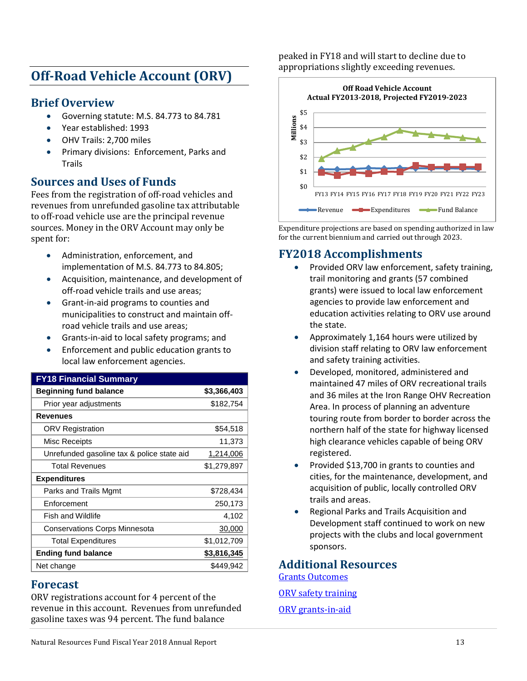# **Off-Road Vehicle Account (ORV)**

### **Brief Overview**

- Governing statute: M.S. 84.773 to 84.781
- Year established: 1993
- OHV Trails: 2,700 miles
- Primary divisions: Enforcement, Parks and Trails

### **Sources and Uses of Funds**

Fees from the registration of off-road vehicles and revenues from unrefunded gasoline tax attributable to off-road vehicle use are the principal revenue sources. Money in the ORV Account may only be spent for:

- Administration, enforcement, and implementation of M.S. 84.773 to 84.805;
- Acquisition, maintenance, and development of off-road vehicle trails and use areas;
- Grant-in-aid programs to counties and municipalities to construct and maintain offroad vehicle trails and use areas;
- Grants-in-aid to local safety programs; and
- Enforcement and public education grants to local law enforcement agencies.

| <b>FY18 Financial Summary</b>              |                    |
|--------------------------------------------|--------------------|
| <b>Beginning fund balance</b>              | \$3,366,403        |
| Prior year adjustments                     | \$182,754          |
| Revenues                                   |                    |
| <b>ORV Registration</b>                    | \$54,518           |
| Misc Receipts                              | 11,373             |
| Unrefunded gasoline tax & police state aid | 1,214,006          |
| <b>Total Revenues</b>                      | \$1,279,897        |
| <b>Expenditures</b>                        |                    |
| Parks and Trails Mgmt                      | \$728,434          |
| Enforcement                                | 250,173            |
| <b>Fish and Wildlife</b>                   | 4,102              |
| <b>Conservations Corps Minnesota</b>       | 30,000             |
| <b>Total Expenditures</b>                  | \$1,012,709        |
| <b>Ending fund balance</b>                 | <u>\$3,816,345</u> |
| Net change                                 | \$449,942          |
|                                            |                    |

#### **Forecast**

ORV registrations account for 4 percent of the revenue in this account. Revenues from unrefunded gasoline taxes was 94 percent. The fund balance

peaked in FY18 and will start to decline due to appropriations slightly exceeding revenues.



Expenditure projections are based on spending authorized in law for the current biennium and carried out through 2023.

### **FY2018 Accomplishments**

- Provided ORV law enforcement, safety training, trail monitoring and grants (57 combined grants) were issued to local law enforcement agencies to provide law enforcement and education activities relating to ORV use around the state.
- Approximately 1,164 hours were utilized by division staff relating to ORV law enforcement and safety training activities.
- Developed, monitored, administered and maintained 47 miles of ORV recreational trails and 36 miles at the Iron Range OHV Recreation Area. In process of planning an adventure touring route from border to border across the northern half of the state for highway licensed high clearance vehicles capable of being ORV registered.
- Provided \$13,700 in grants to counties and cities, for the maintenance, development, and acquisition of public, locally controlled ORV trails and areas.
- Regional Parks and Trails Acquisition and Development staff continued to work on new projects with the clubs and local government sponsors.

**Additional Resources**

<span id="page-12-0"></span>[Grants Outcomes](http://www.dnr.state.mn.us/grants/outcomes/index.html) [ORV safety training](http://www.dnr.state.mn.us/safety/vehicle/orv/index.html) [ORV grants-in-aid](http://www.dnr.state.mn.us/grants/recreation/gia_fourwheel.html)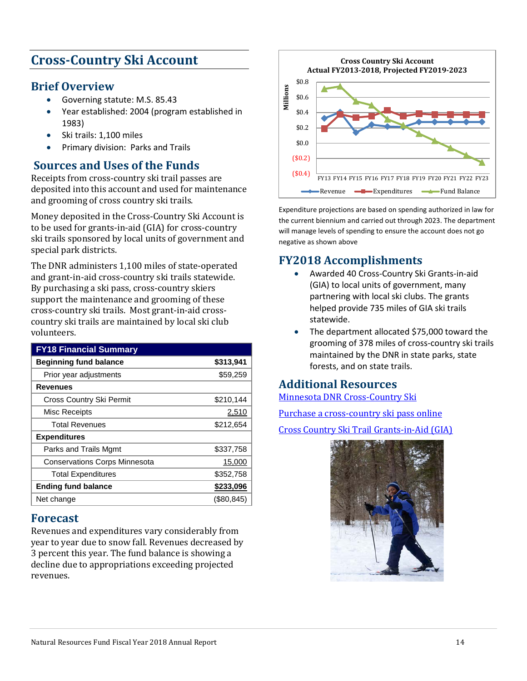# **Cross-Country Ski Account**

### **Brief Overview**

- Governing statute: M.S. 85.43
- Year established: 2004 (program established in 1983)
- Ski trails: 1,100 miles
- Primary division: Parks and Trails

# **Sources and Uses of the Funds**

Receipts from cross-country ski trail passes are deposited into this account and used for maintenance and grooming of cross country ski trails.

Money deposited in the Cross-Country Ski Account is to be used for grants-in-aid (GIA) for cross-country ski trails sponsored by local units of government and special park districts.

The DNR administers 1,100 miles of state-operated and grant-in-aid cross-country ski trails statewide. By purchasing a ski pass, cross-country skiers support the maintenance and grooming of these cross-country ski trails. Most grant-in-aid crosscountry ski trails are maintained by local ski club volunteers.

| <b>FY18 Financial Summary</b>        |              |
|--------------------------------------|--------------|
| <b>Beginning fund balance</b>        | \$313,941    |
| Prior year adjustments               | \$59,259     |
| <b>Revenues</b>                      |              |
| Cross Country Ski Permit             | \$210,144    |
| Misc Receipts                        | 2,510        |
| <b>Total Revenues</b>                | \$212,654    |
| <b>Expenditures</b>                  |              |
| Parks and Trails Mgmt                | \$337,758    |
| <b>Conservations Corps Minnesota</b> | 15,000       |
| <b>Total Expenditures</b>            | \$352,758    |
| <b>Ending fund balance</b>           | \$233,096    |
| Net change                           | $(\$80,845)$ |

### **Forecast**

Revenues and expenditures vary considerably from year to year due to snow fall. Revenues decreased by 3 percent this year. The fund balance is showing a decline due to appropriations exceeding projected revenues.



Expenditure projections are based on spending authorized in law for the current biennium and carried out through 2023. The department will manage levels of spending to ensure the account does not go negative as shown above

# **FY2018 Accomplishments**

- Awarded 40 Cross-Country Ski Grants-in-aid (GIA) to local units of government, many partnering with local ski clubs. The grants helped provide 735 miles of GIA ski trails statewide.
- The department allocated \$75,000 toward the grooming of 378 miles of cross-country ski trails maintained by the DNR in state parks, state forests, and on state trails.

### **Additional Resources**

[Minnesota DNR Cross-Country Ski](http://www.mndnr.gov/skiing/index.html)

[Purchase a cross-country ski pass online](http://www.dnr.state.mn.us/licenses/skipass/index.html)

[Cross Country Ski Trail Grants-in-Aid \(GIA\)](http://www.dnr.state.mn.us/grants/recreation/gia_crosscountry.html)

<span id="page-13-0"></span>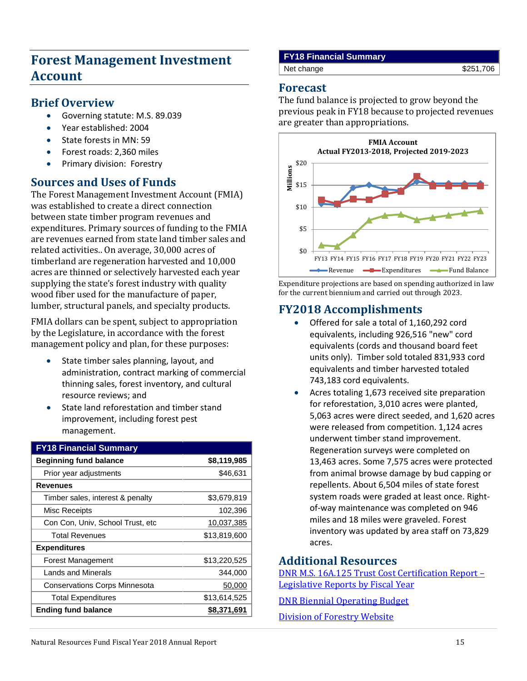# **Forest Management Investment Account**

#### **Brief Overview**

- Governing statute: M.S. 89.039
- Year established: 2004
- State forests in MN: 59
- Forest roads: 2,360 miles
- Primary division: Forestry

### **Sources and Uses of Funds**

The Forest Management Investment Account (FMIA) was established to create a direct connection between state timber program revenues and expenditures. Primary sources of funding to the FMIA are revenues earned from state land timber sales and related activities.. On average, 30,000 acres of timberland are regeneration harvested and 10,000 acres are thinned or selectively harvested each year supplying the state's forest industry with quality wood fiber used for the manufacture of paper, lumber, structural panels, and specialty products.

FMIA dollars can be spent, subject to appropriation by the Legislature, in accordance with the forest management policy and plan, for these purposes:

- State timber sales planning, layout, and administration, contract marking of commercial thinning sales, forest inventory, and cultural resource reviews; and
- State land reforestation and timber stand improvement, including forest pest management.

| <b>FY18 Financial Summary</b>        |              |
|--------------------------------------|--------------|
| <b>Beginning fund balance</b>        | \$8,119,985  |
| Prior year adjustments               | \$46,631     |
| <b>Revenues</b>                      |              |
| Timber sales, interest & penalty     | \$3,679,819  |
| Misc Receipts                        | 102,396      |
| Con Con, Univ, School Trust, etc     | 10,037,385   |
| <b>Total Revenues</b>                | \$13,819,600 |
| <b>Expenditures</b>                  |              |
| Forest Management                    | \$13,220,525 |
| <b>Lands and Minerals</b>            | 344,000      |
| <b>Conservations Corps Minnesota</b> | 50,000       |
| <b>Total Expenditures</b>            | \$13,614,525 |
| <b>Ending fund balance</b>           | \$8,371,691  |

#### **FY18 Financial Summary**

Net change \$251,706

#### **Forecast**

The fund balance is projected to grow beyond the previous peak in FY18 because to projected revenues are greater than appropriations.



Expenditure projections are based on spending authorized in law for the current biennium and carried out through 2023.

### **FY2018 Accomplishments**

- Offered for sale a total of 1,160,292 cord equivalents, including 926,516 "new" cord equivalents (cords and thousand board feet units only). Timber sold totaled 831,933 cord equivalents and timber harvested totaled 743,183 cord equivalents.
- Acres totaling 1,673 received site preparation for reforestation, 3,010 acres were planted, 5,063 acres were direct seeded, and 1,620 acres were released from competition. 1,124 acres underwent timber stand improvement. Regeneration surveys were completed on 13,463 acres. Some 7,575 acres were protected from animal browse damage by bud capping or repellents. About 6,504 miles of state forest system roads were graded at least once. Rightof-way maintenance was completed on 946 miles and 18 miles were graveled. Forest inventory was updated by area staff on 73,829 acres.

# **Additional Resources**

[DNR M.S. 16A.125 Trust Cost Certification Report –](https://www.dnr.state.mn.us/aboutdnr/reports/index.html) [Legislative Reports by Fiscal Year](https://www.dnr.state.mn.us/aboutdnr/reports/index.html)

[DNR Biennial Operating Budget](http://www.dnr.state.mn.us/aboutdnr/budget/index.html) 

<span id="page-14-0"></span>[Division of Forestry Website](http://www.dnr.state.mn.us/forestry/index.html)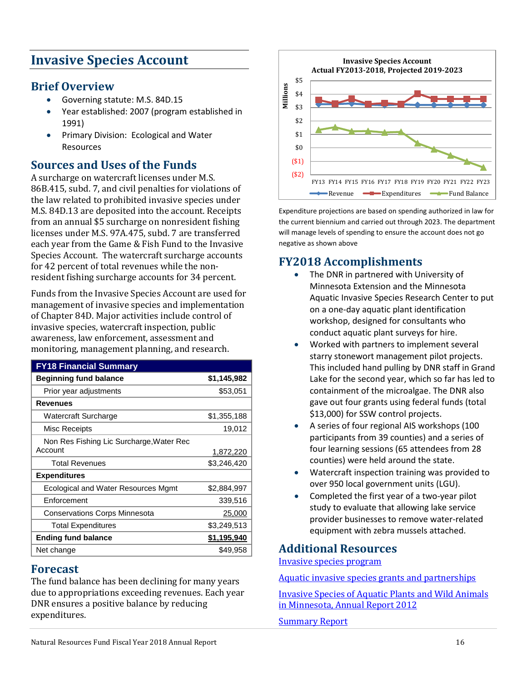# **Invasive Species Account**

### **Brief Overview**

- Governing statute: M.S. 84D.15
- Year established: 2007 (program established in 1991)
- Primary Division: Ecological and Water Resources

### **Sources and Uses of the Funds**

A surcharge on watercraft licenses under M.S. 86B.415, subd. 7, and civil penalties for violations of the law related to prohibited invasive species under M.S. 84D.13 are deposited into the account. Receipts from an annual \$5 surcharge on nonresident fishing licenses under M.S. 97A.475, subd. 7 are transferred each year from the Game & Fish Fund to the Invasive Species Account. The watercraft surcharge accounts for 42 percent of total revenues while the nonresident fishing surcharge accounts for 34 percent.

Funds from the Invasive Species Account are used for management of invasive species and implementation of Chapter 84D. Major activities include control of invasive species, watercraft inspection, public awareness, law enforcement, assessment and monitoring, management planning, and research.

| <b>FY18 Financial Summary</b>            |             |
|------------------------------------------|-------------|
| <b>Beginning fund balance</b>            | \$1,145,982 |
| Prior year adjustments                   | \$53,051    |
| <b>Revenues</b>                          |             |
| Watercraft Surcharge                     | \$1,355,188 |
| Misc Receipts                            | 19,012      |
| Non Res Fishing Lic Surcharge, Water Rec |             |
| Account                                  | 1,872,220   |
| <b>Total Revenues</b>                    | \$3,246,420 |
| <b>Expenditures</b>                      |             |
| Ecological and Water Resources Mgmt      | \$2,884,997 |
| Enforcement                              | 339,516     |
| <b>Conservations Corps Minnesota</b>     | 25,000      |
| <b>Total Expenditures</b>                | \$3,249,513 |
| <b>Ending fund balance</b>               | \$1,195,940 |
| Net change                               | \$49,958    |

#### **Forecast**

The fund balance has been declining for many years due to appropriations exceeding revenues. Each year DNR ensures a positive balance by reducing expenditures.



Expenditure projections are based on spending authorized in law for the current biennium and carried out through 2023. The department will manage levels of spending to ensure the account does not go negative as shown above

# **FY2018 Accomplishments**

- The DNR in partnered with University of Minnesota Extension and the Minnesota Aquatic Invasive Species Research Center to put on a one-day aquatic plant identification workshop, designed for consultants who conduct aquatic plant surveys for hire.
- Worked with partners to implement several starry stonewort management pilot projects. This included hand pulling by DNR staff in Grand Lake for the second year, which so far has led to containment of the microalgae. The DNR also gave out four grants using federal funds (total \$13,000) for SSW control projects.
- A series of four regional AIS workshops (100 participants from 39 counties) and a series of four learning sessions (65 attendees from 28 counties) were held around the state.
- Watercraft inspection training was provided to over 950 local government units (LGU).
- Completed the first year of a two-year pilot study to evaluate that allowing lake service provider businesses to remove water-related equipment with zebra mussels attached.

#### **Additional Resources**

[Invasive species program](http://www.dnr.state.mn.us/eco/invasives/index.html)

[Aquatic invasive species grants and partnerships](http://www.dnr.state.mn.us/grants/aquatic_invasive/index.html)

[Invasive Species of Aquatic Plants and Wild Animals](https://files.dnr.state.mn.us/aboutdnr/reports/legislative/2012_invasive_species_annual_report_final.pdf)  [in Minnesota, Annual Report 2012](https://files.dnr.state.mn.us/aboutdnr/reports/legislative/2012_invasive_species_annual_report_final.pdf)

<span id="page-15-0"></span>[Summary Report](https://files.dnr.state.mn.us/aboutdnr/reports/legislative/2012_invasive_species_annual_report_final_summary.pdf)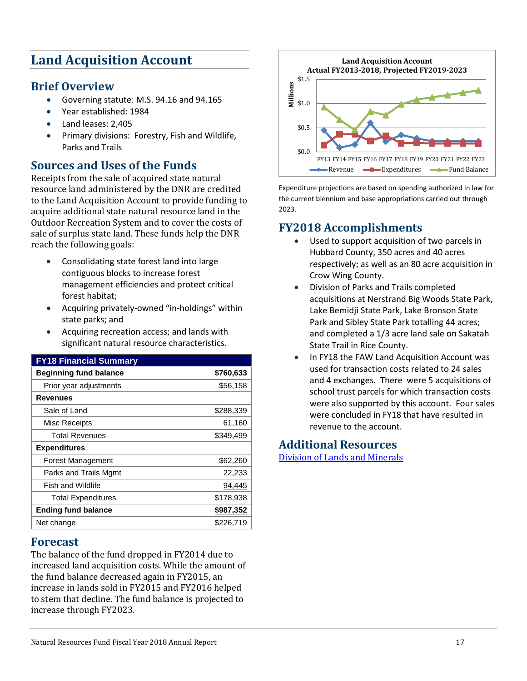# **Land Acquisition Account**

### **Brief Overview**

- Governing statute: M.S. 94.16 and 94.165
- Year established: 1984
- Land leases: 2,405
- Primary divisions: Forestry, Fish and Wildlife, Parks and Trails

# **Sources and Uses of the Funds**

Receipts from the sale of acquired state natural resource land administered by the DNR are credited to the Land Acquisition Account to provide funding to acquire additional state natural resource land in the Outdoor Recreation System and to cover the costs of sale of surplus state land. These funds help the DNR reach the following goals:

- Consolidating state forest land into large contiguous blocks to increase forest management efficiencies and protect critical forest habitat;
- Acquiring privately-owned "in-holdings" within state parks; and
- Acquiring recreation access; and lands with significant natural resource characteristics.

| <b>FY18 Financial Summary</b> |           |
|-------------------------------|-----------|
| <b>Beginning fund balance</b> | \$760,633 |
| Prior year adjustments        | \$56,158  |
| <b>Revenues</b>               |           |
| Sale of Land                  | \$288,339 |
| Misc Receipts                 | 61,160    |
| <b>Total Revenues</b>         | \$349,499 |
| <b>Expenditures</b>           |           |
| <b>Forest Management</b>      | \$62,260  |
| Parks and Trails Mgmt         | 22,233    |
| <b>Fish and Wildlife</b>      | 94,445    |
| <b>Total Expenditures</b>     | \$178,938 |
| <b>Ending fund balance</b>    | \$987,352 |
| Net change                    | \$226.719 |

### **Forecast**

The balance of the fund dropped in FY2014 due to increased land acquisition costs. While the amount of the fund balance decreased again in FY2015, an increase in lands sold in FY2015 and FY2016 helped to stem that decline. The fund balance is projected to increase through FY2023.



Expenditure projections are based on spending authorized in law for the current biennium and base appropriations carried out through 2023.

# **FY2018 Accomplishments**

- Used to support acquisition of two parcels in Hubbard County, 350 acres and 40 acres respectively; as well as an 80 acre acquisition in Crow Wing County.
- Division of Parks and Trails completed acquisitions at Nerstrand Big Woods State Park, Lake Bemidji State Park, Lake Bronson State Park and Sibley State Park totalling 44 acres; and completed a 1/3 acre land sale on Sakatah State Trail in Rice County.
- In FY18 the FAW Land Acquisition Account was used for transaction costs related to 24 sales and 4 exchanges. There were 5 acquisitions of school trust parcels for which transaction costs were also supported by this account. Four sales were concluded in FY18 that have resulted in revenue to the account.

# <span id="page-16-0"></span>**Additional Resources**

[Division of Lands and Minerals](http://www.dnr.state.mn.us/lands_minerals/contacts.html)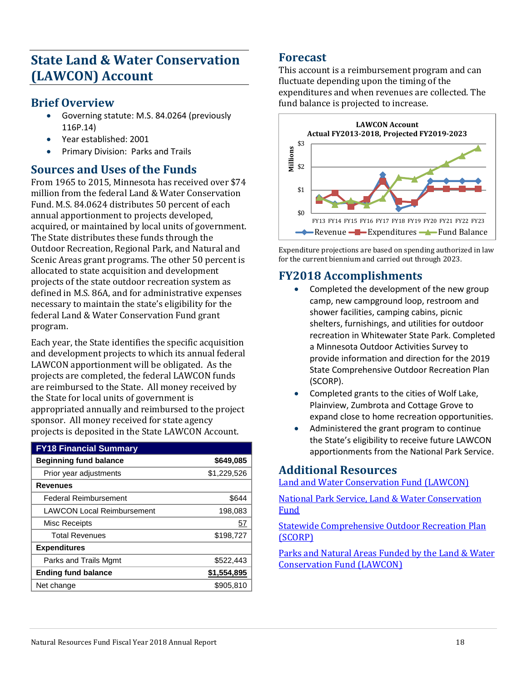# **State Land & Water Conservation (LAWCON) Account**

### **Brief Overview**

- Governing statute: M.S. 84.0264 (previously 116P.14)
- Year established: 2001
- Primary Division: Parks and Trails

# **Sources and Uses of the Funds**

From 1965 to 2015, Minnesota has received over \$74 million from the federal Land & Water Conservation Fund. M.S. 84.0624 distributes 50 percent of each annual apportionment to projects developed, acquired, or maintained by local units of government. The State distributes these funds through the Outdoor Recreation, Regional Park, and Natural and Scenic Areas grant programs. The other 50 percent is allocated to state acquisition and development projects of the state outdoor recreation system as defined in M.S. 86A, and for administrative expenses necessary to maintain the state's eligibility for the federal Land & Water Conservation Fund grant program.

Each year, the State identifies the specific acquisition and development projects to which its annual federal LAWCON apportionment will be obligated. As the projects are completed, the federal LAWCON funds are reimbursed to the State. All money received by the State for local units of government is appropriated annually and reimbursed to the project sponsor. All money received for state agency projects is deposited in the State LAWCON Account.

| <b>FY18 Financial Summary</b>     |             |
|-----------------------------------|-------------|
| <b>Beginning fund balance</b>     | \$649,085   |
| Prior year adjustments            | \$1,229,526 |
| <b>Revenues</b>                   |             |
| <b>Federal Reimbursement</b>      | \$644       |
| <b>LAWCON Local Reimbursement</b> | 198,083     |
| Misc Receipts                     | 57          |
| <b>Total Revenues</b>             | \$198,727   |
| <b>Expenditures</b>               |             |
| Parks and Trails Mgmt             | \$522,443   |
| <b>Ending fund balance</b>        | \$1,554,895 |
| Net change                        | \$905,810   |

### **Forecast**

This account is a reimbursement program and can fluctuate depending upon the timing of the expenditures and when revenues are collected. The fund balance is projected to increase.



Expenditure projections are based on spending authorized in law for the current biennium and carried out through 2023.

# **FY2018 Accomplishments**

- Completed the development of the new group camp, new campground loop, restroom and shower facilities, camping cabins, picnic shelters, furnishings, and utilities for outdoor recreation in Whitewater State Park. Completed a Minnesota Outdoor Activities Survey to provide information and direction for the 2019 State Comprehensive Outdoor Recreation Plan (SCORP).
- Completed grants to the cities of Wolf Lake, Plainview, Zumbrota and Cottage Grove to expand close to home recreation opportunities.
- Administered the grant program to continue the State's eligibility to receive future LAWCON apportionments from the National Park Service.

### **Additional Resources**

[Land and Water Conservation Fund \(LAWCON\)](http://www.dnr.state.mn.us/aboutdnr/lawcon/index.html)

[National Park Service, Land & Water Conservation](http://www.nps.gov/ncrc/programs/lwcf/index.htm)  Fund

[Statewide Comprehensive Outdoor Recreation Plan](https://www.dnr.state.mn.us/aboutdnr/reports/scorp/index.html)  (SCORP)

<span id="page-17-0"></span>[Parks and Natural Areas Funded by the Land & Water](http://files.dnr.state.mn.us/aboutdnr/lawcon/lawcon_1.pdf)  [Conservation Fund \(LAWCON\)](http://files.dnr.state.mn.us/aboutdnr/lawcon/lawcon_1.pdf)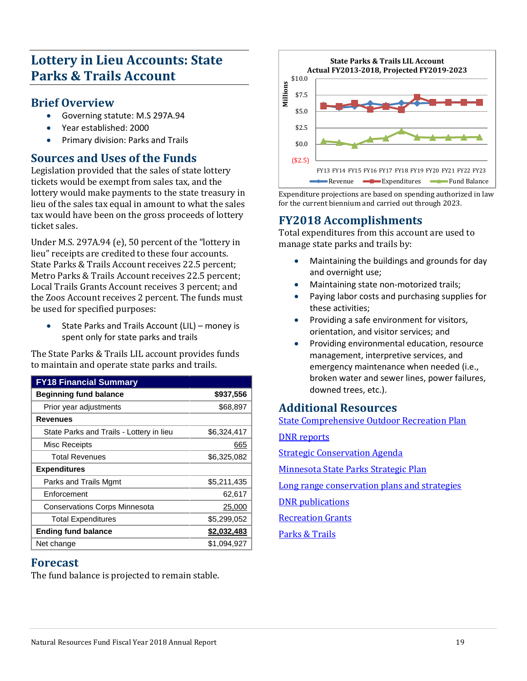# **Lottery in Lieu Accounts: State Parks & Trails Account**

### **Brief Overview**

- Governing statute: M.S 297A.94
- Year established: 2000
- Primary division: Parks and Trails

### **Sources and Uses of the Funds**

Legislation provided that the sales of state lottery tickets would be exempt from sales tax, and the lottery would make payments to the state treasury in lieu of the sales tax equal in amount to what the sales tax would have been on the gross proceeds of lottery ticket sales.

Under M.S. 297A.94 (e), 50 percent of the "lottery in lieu" receipts are credited to these four accounts. State Parks & Trails Account receives 22.5 percent; Metro Parks & Trails Account receives 22.5 percent; Local Trails Grants Account receives 3 percent; and the Zoos Account receives 2 percent. The funds must be used for specified purposes:

• State Parks and Trails Account (LIL) – money is spent only for state parks and trails

The State Parks & Trails LIL account provides funds to maintain and operate state parks and trails.

| <b>FY18 Financial Summary</b>            |             |
|------------------------------------------|-------------|
| <b>Beginning fund balance</b>            | \$937,556   |
| Prior year adjustments                   | \$68,897    |
| Revenues                                 |             |
| State Parks and Trails - Lottery in lieu | \$6,324,417 |
| Misc Receipts                            | 665         |
| <b>Total Revenues</b>                    | \$6,325,082 |
| <b>Expenditures</b>                      |             |
| Parks and Trails Mgmt                    | \$5,211,435 |
| Enforcement                              | 62,617      |
| <b>Conservations Corps Minnesota</b>     | 25,000      |
| <b>Total Expenditures</b>                | \$5,299,052 |
| <b>Ending fund balance</b>               | \$2,032,483 |
| Net change                               | \$1,094,927 |

# **Forecast**

The fund balance is projected to remain stable.



Expenditure projections are based on spending authorized in law for the current biennium and carried out through 2023.

# **FY2018 Accomplishments**

Total expenditures from this account are used to manage state parks and trails by:

- Maintaining the buildings and grounds for day and overnight use;
- Maintaining state non-motorized trails;
- Paying labor costs and purchasing supplies for these activities;
- Providing a safe environment for visitors, orientation, and visitor services; and
- Providing environmental education, resource management, interpretive services, and emergency maintenance when needed (i.e., broken water and sewer lines, power failures, downed trees, etc.).

# **Additional Resources**

[State Comprehensive Outdoor Recreation Plan](http://www.dnr.state.mn.us/aboutdnr/reports/scorp/index.html)

[DNR reports](http://www.dnr.state.mn.us/aboutdnr/reports/index.html)

[Strategic Conservation Agenda](http://www.dnr.state.mn.us/conservationagenda/index.html) 

[Minnesota State Parks Strategic Plan](https://www.dnr.state.mn.us/input/mgmtplans/strategic_plan/10year_2.html)

[Long range conservation plans and strategies](http://www.dnr.state.mn.us/grants/recreation/index.html)

[DNR publications](http://www.dnr.state.mn.us/publications/index.html)

**Recreation Grants** 

<span id="page-18-0"></span>[Parks & Trails](http://www.dnr.state.mn.us/trails_waterways/index.html)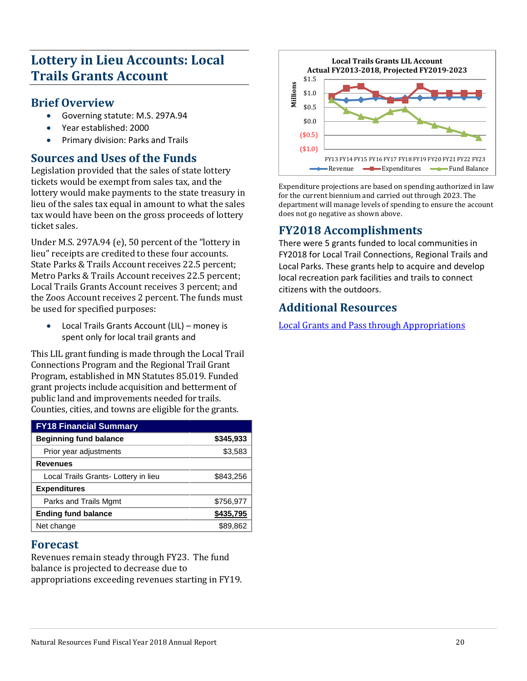# **Lottery in Lieu Accounts: Local Trails Grants Account**

### **Brief Overview**

- Governing statute: M.S. 297A.94
- Year established: 2000
- Primary division: Parks and Trails

### **Sources and Uses of the Funds**

Legislation provided that the sales of state lottery tickets would be exempt from sales tax, and the lottery would make payments to the state treasury in lieu of the sales tax equal in amount to what the sales tax would have been on the gross proceeds of lottery ticket sales.

Under M.S. 297A.94 (e), 50 percent of the "lottery in lieu" receipts are credited to these four accounts. State Parks & Trails Account receives 22.5 percent; Metro Parks & Trails Account receives 22.5 percent; Local Trails Grants Account receives 3 percent; and the Zoos Account receives 2 percent. The funds must be used for specified purposes:

• Local Trails Grants Account (LIL) – money is spent only for local trail grants and

This LIL grant funding is made through the Local Trail Connections Program and the Regional Trail Grant Program, established in MN Statutes 85.019. Funded grant projects include acquisition and betterment of public land and improvements needed for trails. Counties, cities, and towns are eligible for the grants.

| <b>FY18 Financial Summary</b>        |           |
|--------------------------------------|-----------|
| <b>Beginning fund balance</b>        | \$345,933 |
| Prior year adjustments               | \$3,583   |
| <b>Revenues</b>                      |           |
| Local Trails Grants- Lottery in lieu | \$843,256 |
| <b>Expenditures</b>                  |           |
| Parks and Trails Mgmt                | \$756,977 |
| <b>Ending fund balance</b>           | \$435,795 |
| Net change                           | \$89,862  |

### **Forecast**

Revenues remain steady through FY23. The fund balance is projected to decrease due to appropriations exceeding revenues starting in FY19.



Expenditure projections are based on spending authorized in law for the current biennium and carried out through 2023. The department will manage levels of spending to ensure the account does not go negative as shown above.

# **FY2018 Accomplishments**

There were 5 grants funded to local communities in FY2018 for Local Trail Connections, Regional Trails and Local Parks. These grants help to acquire and develop local recreation park facilities and trails to connect citizens with the outdoors.

# <span id="page-19-0"></span>**Additional Resources**

[Local Grants and Pass through](http://www.dnr.state.mn.us/grants/index.html) Appropriations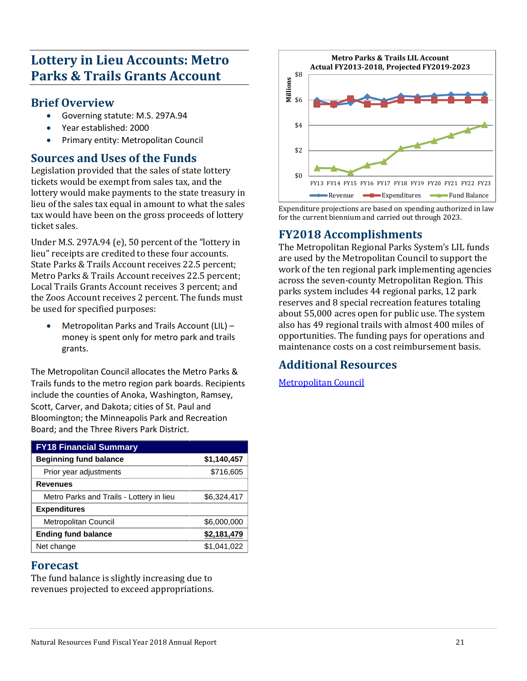# **Lottery in Lieu Accounts: Metro Parks & Trails Grants Account**

### **Brief Overview**

- Governing statute: M.S. 297A.94
- Year established: 2000
- Primary entity: Metropolitan Council

### **Sources and Uses of the Funds**

Legislation provided that the sales of state lottery tickets would be exempt from sales tax, and the lottery would make payments to the state treasury in lieu of the sales tax equal in amount to what the sales tax would have been on the gross proceeds of lottery ticket sales.

Under M.S. 297A.94 (e), 50 percent of the "lottery in lieu" receipts are credited to these four accounts. State Parks & Trails Account receives 22.5 percent; Metro Parks & Trails Account receives 22.5 percent; Local Trails Grants Account receives 3 percent; and the Zoos Account receives 2 percent. The funds must be used for specified purposes:

• Metropolitan Parks and Trails Account (LIL) – money is spent only for metro park and trails grants.

The Metropolitan Council allocates the Metro Parks & Trails funds to the metro region park boards. Recipients include the counties of Anoka, Washington, Ramsey, Scott, Carver, and Dakota; cities of St. Paul and Bloomington; the Minneapolis Park and Recreation Board; and the Three Rivers Park District.

| <b>FY18 Financial Summary</b>            |             |
|------------------------------------------|-------------|
| <b>Beginning fund balance</b>            | \$1,140,457 |
| Prior year adjustments                   | \$716,605   |
| <b>Revenues</b>                          |             |
| Metro Parks and Trails - Lottery in lieu | \$6,324,417 |
| <b>Expenditures</b>                      |             |
| <b>Metropolitan Council</b>              | \$6,000,000 |
| <b>Ending fund balance</b>               | \$2,181,479 |
| Net change                               | \$1,041,022 |

#### **Forecast**

The fund balance is slightly increasing due to revenues projected to exceed appropriations.



Expenditure projections are based on spending authorized in law for the current biennium and carried out through 2023.

### **FY2018 Accomplishments**

The Metropolitan Regional Parks System's LIL funds are used by the Metropolitan Council to support the work of the ten regional park implementing agencies across the seven-county Metropolitan Region. This parks system includes 44 regional parks, 12 park reserves and 8 special recreation features totaling about 55,000 acres open for public use. The system also has 49 regional trails with almost 400 miles of opportunities. The funding pays for operations and maintenance costs on a cost reimbursement basis.

# **Additional Resources**

<span id="page-20-0"></span>[Metropolitan Council](https://metrocouncil.org/)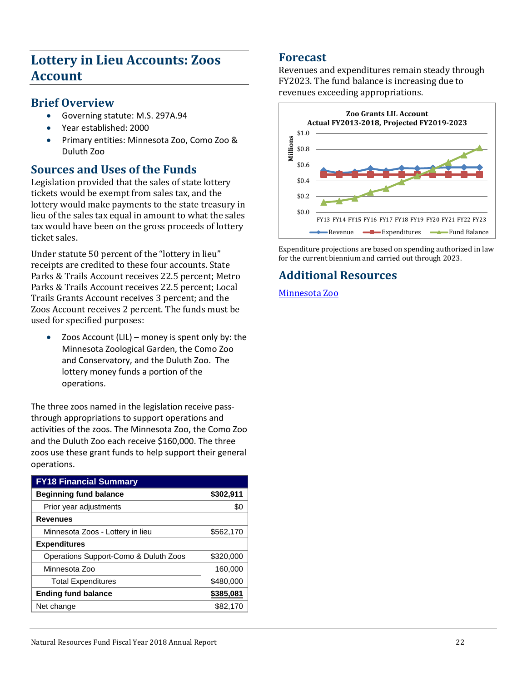# **Lottery in Lieu Accounts: Zoos Account**

#### **Brief Overview**

- Governing statute: M.S. 297A.94
- Year established: 2000
- Primary entities: Minnesota Zoo, Como Zoo & Duluth Zoo

# **Sources and Uses of the Funds**

Legislation provided that the sales of state lottery tickets would be exempt from sales tax, and the lottery would make payments to the state treasury in lieu of the sales tax equal in amount to what the sales tax would have been on the gross proceeds of lottery ticket sales.

Under statute 50 percent of the "lottery in lieu" receipts are credited to these four accounts. State Parks & Trails Account receives 22.5 percent; Metro Parks & Trails Account receives 22.5 percent; Local Trails Grants Account receives 3 percent; and the Zoos Account receives 2 percent. The funds must be used for specified purposes:

Zoos Account (LIL) – money is spent only by: the Minnesota Zoological Garden, the Como Zoo and Conservatory, and the Duluth Zoo. The lottery money funds a portion of the operations.

The three zoos named in the legislation receive passthrough appropriations to support operations and activities of the zoos. The Minnesota Zoo, the Como Zoo and the Duluth Zoo each receive \$160,000. The three zoos use these grant funds to help support their general operations.

| <b>FY18 Financial Summary</b>         |           |
|---------------------------------------|-----------|
| <b>Beginning fund balance</b>         | \$302,911 |
| Prior year adjustments                | \$0       |
| <b>Revenues</b>                       |           |
| Minnesota Zoos - Lottery in lieu      | \$562,170 |
| <b>Expenditures</b>                   |           |
| Operations Support-Como & Duluth Zoos | \$320,000 |
| Minnesota Zoo                         | 160,000   |
| <b>Total Expenditures</b>             | \$480,000 |
| <b>Ending fund balance</b>            | \$385,081 |
| Net change                            | \$82,170  |

### **Forecast**

Revenues and expenditures remain steady through FY2023. The fund balance is increasing due to revenues exceeding appropriations.



Expenditure projections are based on spending authorized in law for the current biennium and carried out through 2023.

# <span id="page-21-0"></span>**Additional Resources**

[Minnesota Zoo](http://www.mnzoo.com/)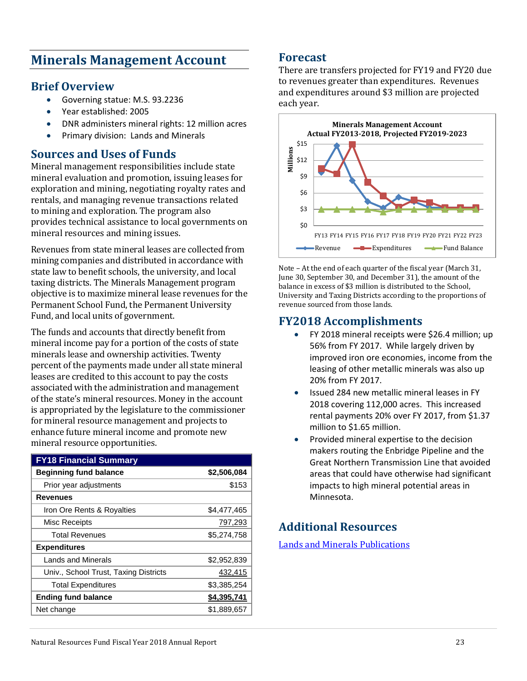# **Minerals Management Account**

### **Brief Overview**

- Governing statue: M.S. 93.2236
- Year established: 2005
- DNR administers mineral rights: 12 million acres
- Primary division: Lands and Minerals

### **Sources and Uses of Funds**

Mineral management responsibilities include state mineral evaluation and promotion, issuing leases for exploration and mining, negotiating royalty rates and rentals, and managing revenue transactions related to mining and exploration. The program also provides technical assistance to local governments on mineral resources and mining issues.

Revenues from state mineral leases are collected from mining companies and distributed in accordance with state law to benefit schools, the university, and local taxing districts. The Minerals Management program objective is to maximize mineral lease revenues for the Permanent School Fund, the Permanent University Fund, and local units of government.

The funds and accounts that directly benefit from mineral income pay for a portion of the costs of state minerals lease and ownership activities. Twenty percent of the payments made under all state mineral leases are credited to this account to pay the costs associated with the administration and management of the state's mineral resources. Money in the account is appropriated by the legislature to the commissioner for mineral resource management and projects to enhance future mineral income and promote new mineral resource opportunities.

| <b>FY18 Financial Summary</b>         |             |
|---------------------------------------|-------------|
| <b>Beginning fund balance</b>         | \$2,506,084 |
| Prior year adjustments                | \$153       |
| <b>Revenues</b>                       |             |
| Iron Ore Rents & Royalties            | \$4,477,465 |
| Misc Receipts                         | 797,293     |
| <b>Total Revenues</b>                 | \$5,274,758 |
| <b>Expenditures</b>                   |             |
| <b>Lands and Minerals</b>             | \$2,952,839 |
| Univ., School Trust, Taxing Districts | 432,415     |
| <b>Total Expenditures</b>             | \$3,385,254 |
| <b>Ending fund balance</b>            | \$4,395,741 |
| Net change                            | \$1,889,657 |

#### **Forecast**

There are transfers projected for FY19 and FY20 due to revenues greater than expenditures. Revenues and expenditures around \$3 million are projected each year.



Note – At the end of each quarter of the fiscal year (March 31, June 30, September 30, and December 31), the amount of the balance in excess of \$3 million is distributed to the School, University and Taxing Districts according to the proportions of revenue sourced from those lands.

### **FY2018 Accomplishments**

- FY 2018 mineral receipts were \$26.4 million; up 56% from FY 2017. While largely driven by improved iron ore economies, income from the leasing of other metallic minerals was also up 20% from FY 2017.
- Issued 284 new metallic mineral leases in FY 2018 covering 112,000 acres. This increased rental payments 20% over FY 2017, from \$1.37 million to \$1.65 million.
- Provided mineral expertise to the decision makers routing the Enbridge Pipeline and the Great Northern Transmission Line that avoided areas that could have otherwise had significant impacts to high mineral potential areas in Minnesota.

# <span id="page-22-0"></span>**Additional Resources**

[Lands and Minerals Publications](http://www.dnr.state.mn.us/lands_minerals/pubs.html)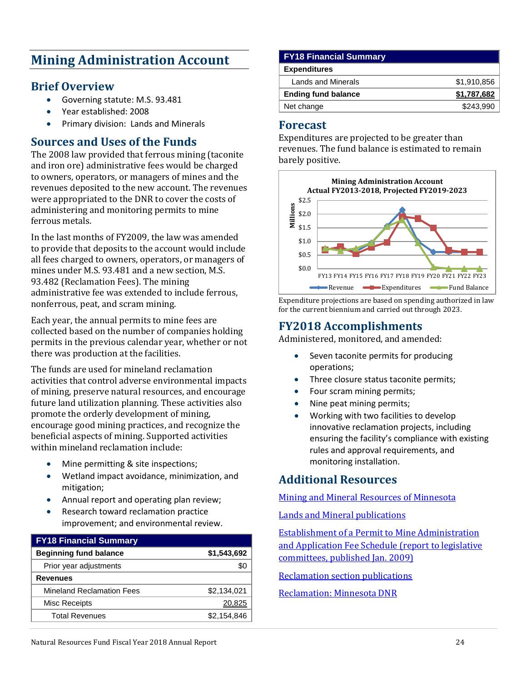# **Mining Administration Account**

### **Brief Overview**

- Governing statute: M.S. 93.481
- Year established: 2008
- Primary division: Lands and Minerals

### **Sources and Uses of the Funds**

The 2008 law provided that ferrous mining (taconite and iron ore) administrative fees would be charged to owners, operators, or managers of mines and the revenues deposited to the new account. The revenues were appropriated to the DNR to cover the costs of administering and monitoring permits to mine ferrous metals.

In the last months of FY2009, the law was amended to provide that deposits to the account would include all fees charged to owners, operators, or managers of mines under M.S. 93.481 and a new section, M.S. 93.482 (Reclamation Fees). The mining administrative fee was extended to include ferrous, nonferrous, peat, and scram mining.

Each year, the annual permits to mine fees are collected based on the number of companies holding permits in the previous calendar year, whether or not there was production at the facilities.

The funds are used for mineland reclamation activities that control adverse environmental impacts of mining, preserve natural resources, and encourage future land utilization planning. These activities also promote the orderly development of mining, encourage good mining practices, and recognize the beneficial aspects of mining. Supported activities within mineland reclamation include:

- Mine permitting & site inspections;
- Wetland impact avoidance, minimization, and mitigation;
- Annual report and operating plan review;
- Research toward reclamation practice improvement; and environmental review.

| <b>FY18 Financial Summary</b>    |             |
|----------------------------------|-------------|
| <b>Beginning fund balance</b>    | \$1,543,692 |
| Prior year adjustments           |             |
| <b>Revenues</b>                  |             |
| <b>Mineland Reclamation Fees</b> | \$2,134,021 |
| Misc Receipts                    | 20.825      |
| <b>Total Revenues</b>            | \$2,154,846 |

| <b>FY18 Financial Summary</b> |             |
|-------------------------------|-------------|
| <b>Expenditures</b>           |             |
| Lands and Minerals            | \$1,910,856 |
| <b>Ending fund balance</b>    | \$1,787,682 |
| Net change                    | \$243.990   |
|                               |             |

#### **Forecast**

Expenditures are projected to be greater than revenues. The fund balance is estimated to remain barely positive.



Expenditure projections are based on spending authorized in law for the current biennium and carried out through 2023.

### **FY2018 Accomplishments**

Administered, monitored, and amended:

- Seven taconite permits for producing operations;
- Three closure status taconite permits;
- Four scram mining permits;
- Nine peat mining permits;
- Working with two facilities to develop innovative reclamation projects, including ensuring the facility's compliance with existing rules and approval requirements, and monitoring installation.

### **Additional Resources**

#### [Mining and Mineral Resources of Minnesota](http://www.dnr.state.mn.us/lands_minerals/mining.html)

[Lands and Mineral publications](http://www.dnr.state.mn.us/lands_minerals/pubs.html) 

[Establishment of a Permit to Mine Administration](http://files.dnr.state.mn.us/lands_minerals/Permit_to_Mine_Administration_and_Application_Fee_Schedule.pdf)  [and Application Fee Schedule \(report to legislative](http://files.dnr.state.mn.us/lands_minerals/Permit_to_Mine_Administration_and_Application_Fee_Schedule.pdf)  [committees, published Jan. 2009\)](http://files.dnr.state.mn.us/lands_minerals/Permit_to_Mine_Administration_and_Application_Fee_Schedule.pdf)

[Reclamation section publications](http://files.dnr.state.mn.us/lands_minerals/reclamation/reclamation_publication_list.pdf) 

#### <span id="page-23-0"></span>[Reclamation: Minnesota DNR](http://www.dnr.state.mn.us/lands_minerals/mineland_reclamation/index.html)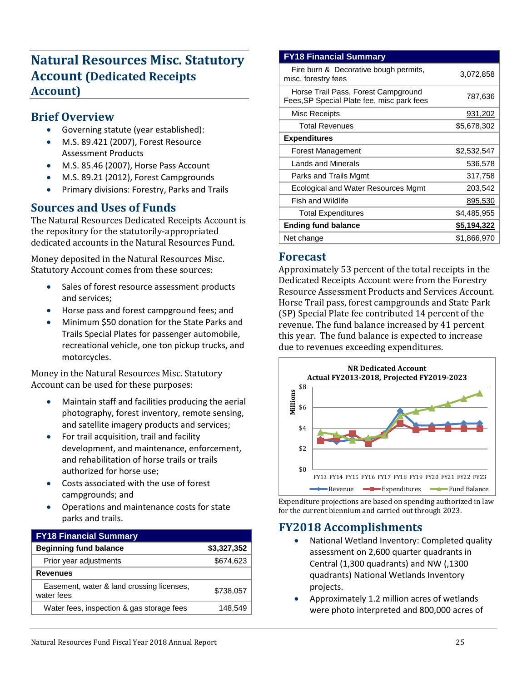# **Natural Resources Misc. Statutory Account (Dedicated Receipts Account)**

### **Brief Overview**

- Governing statute (year established):
- M.S. 89.421 (2007), Forest Resource Assessment Products
- M.S. 85.46 (2007), Horse Pass Account
- M.S. 89.21 (2012), Forest Campgrounds
- Primary divisions: Forestry, Parks and Trails

# **Sources and Uses of Funds**

The Natural Resources Dedicated Receipts Account is the repository for the statutorily-appropriated dedicated accounts in the Natural Resources Fund.

Money deposited in the Natural Resources Misc. Statutory Account comes from these sources:

- Sales of forest resource assessment products and services;
- Horse pass and forest campground fees; and
- Minimum \$50 donation for the State Parks and Trails Special Plates for passenger automobile, recreational vehicle, one ton pickup trucks, and motorcycles.

Money in the Natural Resources Misc. Statutory Account can be used for these purposes:

- Maintain staff and facilities producing the aerial photography, forest inventory, remote sensing, and satellite imagery products and services;
- For trail acquisition, trail and facility development, and maintenance, enforcement, and rehabilitation of horse trails or trails authorized for horse use;
- Costs associated with the use of forest campgrounds; and
- Operations and maintenance costs for state parks and trails.

# **FY18 Financial Summary Beginning fund balance \$3,327,352**  Prior year adjustments \$674,623 **Revenues** Easement, water & land crossing licenses, water fees \$738,057 Water fees, inspection & gas storage fees 148,549

#### **FY18 Financial Summary** Fire burn & Decorative bough permits, Fire burn & Decorative bough permits, 3,072,858<br>misc. forestry fees Horse Trail Pass, Forest Campground Froise Trail Plate fee, misc park fees<br>Fees,SP Special Plate fee, misc park fees Misc Receipts 931,202 Total Revenues \$5,678,302 **Expenditures** Forest Management \$2,532,547 Lands and Minerals 636.578 Parks and Trails Mgmt 317,758 Ecological and Water Resources Mgmt 203,542 Fish and Wildlife 895,530 Total Expenditures  $$4,485,955$ **Ending fund balance \$5,194,322**  Net change \$1,866,970

#### **Forecast**

Approximately 53 percent of the total receipts in the Dedicated Receipts Account were from the Forestry Resource Assessment Products and Services Account. Horse Trail pass, forest campgrounds and State Park (SP) Special Plate fee contributed 14 percent of the revenue. The fund balance increased by 41 percent this year. The fund balance is expected to increase due to revenues exceeding expenditures.



Expenditure projections are based on spending authorized in law for the current biennium and carried out through 2023.

# **FY2018 Accomplishments**

- National Wetland Inventory: Completed quality assessment on 2,600 quarter quadrants in Central (1,300 quadrants) and NW (,1300 quadrants) National Wetlands Inventory projects.
- Approximately 1.2 million acres of wetlands were photo interpreted and 800,000 acres of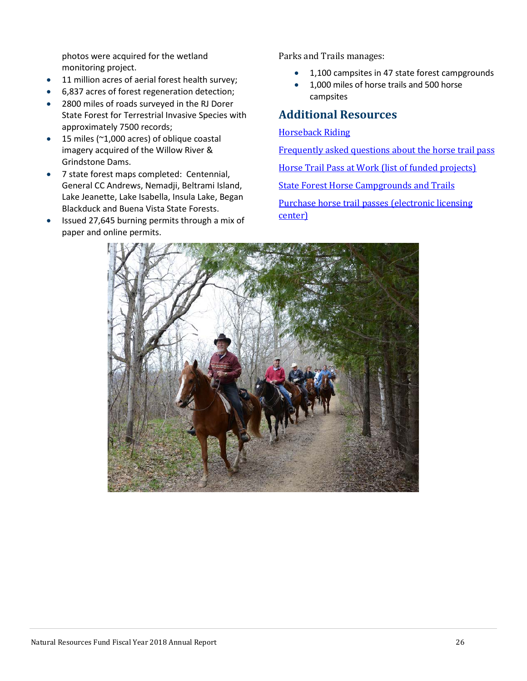photos were acquired for the wetland monitoring project.

- 11 million acres of aerial forest health survey;
- 6,837 acres of forest regeneration detection;
- 2800 miles of roads surveyed in the RJ Dorer State Forest for Terrestrial Invasive Species with approximately 7500 records;
- 15 miles (~1,000 acres) of oblique coastal imagery acquired of the Willow River & Grindstone Dams.
- 7 state forest maps completed: Centennial, General CC Andrews, Nemadji, Beltrami Island, Lake Jeanette, Lake Isabella, Insula Lake, Began Blackduck and Buena Vista State Forests.
- Issued 27,645 burning permits through a mix of paper and online permits.

Parks and Trails manages:

- 1,100 campsites in 47 state forest campgrounds
- 1,000 miles of horse trails and 500 horse campsites

### **Additional Resources**

#### [Horseback Riding](http://www.dnr.state.mn.us/horseback_riding/index.html)

[Frequently asked questions about the horse trail pass](http://www.dnr.state.mn.us/horseback_riding/horsepass.html)

[Horse Trail Pass at Work \(list of funded projects\)](http://files.dnr.state.mn.us/recreation/horseback_riding/horse_pass_projects.pdf) 

[State Forest Horse Campgrounds and Trails](http://files.dnr.state.mn.us/recreation/horseback_riding/stateforest_horse_camp_trails.pdf) 

<span id="page-25-0"></span>[Purchase horse trail passes \(electronic licensing](http://www.dnr.state.mn.us/licenses/agents.html)  [center\)](http://www.dnr.state.mn.us/licenses/agents.html)

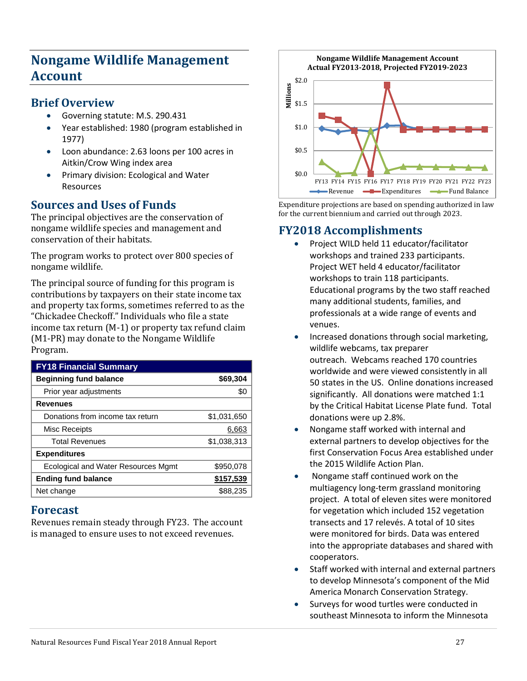# **Nongame Wildlife Management Account**

### **Brief Overview**

- Governing statute: M.S. 290.431
- Year established: 1980 (program established in 1977)
- Loon abundance: 2.63 loons per 100 acres in Aitkin/Crow Wing index area
- Primary division: Ecological and Water Resources

# **Sources and Uses of Funds**

The principal objectives are the conservation of nongame wildlife species and management and conservation of their habitats.

The program works to protect over 800 species of nongame wildlife.

The principal source of funding for this program is contributions by taxpayers on their state income tax and property tax forms, sometimes referred to as the "Chickadee Checkoff." Individuals who file a state income tax return (M-1) or property tax refund claim (M1-PR) may donate to the Nongame Wildlife Program.

| <b>FY18 Financial Summary</b>       |             |
|-------------------------------------|-------------|
| <b>Beginning fund balance</b>       | \$69,304    |
| Prior year adjustments              | \$0         |
| <b>Revenues</b>                     |             |
| Donations from income tax return    | \$1,031,650 |
| Misc Receipts                       | 6,663       |
| <b>Total Revenues</b>               | \$1,038,313 |
| <b>Expenditures</b>                 |             |
| Ecological and Water Resources Mgmt | \$950,078   |
| <b>Ending fund balance</b>          | \$157,539   |
| Net change                          | \$88,235    |

# **Forecast**

Revenues remain steady through FY23. The account is managed to ensure uses to not exceed revenues.

\$0.0 \$0.5 \$1.0 \$1.5 **millions**<br> **Millions**<br> **Millions** FY13 FY14 FY15 FY16 FY17 FY18 FY19 FY20 FY21 FY22 FY23 **Nongame Wildlife Management Account Actual FY2013-2018, Projected FY2019-2023**  Revenue **— Expenditures** <del>— Fund Balance</del>

Expenditure projections are based on spending authorized in law for the current biennium and carried out through 2023.

# **FY2018 Accomplishments**

- Project WILD held 11 educator/facilitator workshops and trained 233 participants. Project WET held 4 educator/facilitator workshops to train 118 participants. Educational programs by the two staff reached many additional students, families, and professionals at a wide range of events and venues.
- Increased donations through social marketing, wildlife webcams, tax preparer outreach. Webcams reached 170 countries worldwide and were viewed consistently in all 50 states in the US. Online donations increased significantly. All donations were matched 1:1 by the Critical Habitat License Plate fund. Total donations were up 2.8%.
- Nongame staff worked with internal and external partners to develop objectives for the first Conservation Focus Area established under the 2015 Wildlife Action Plan.
- Nongame staff continued work on the multiagency long-term grassland monitoring project. A total of eleven sites were monitored for vegetation which included 152 vegetation transects and 17 relevés. A total of 10 sites were monitored for birds. Data was entered into the appropriate databases and shared with cooperators.
- Staff worked with internal and external partners to develop Minnesota's component of the Mid America Monarch Conservation Strategy.
- Surveys for wood turtles were conducted in southeast Minnesota to inform the Minnesota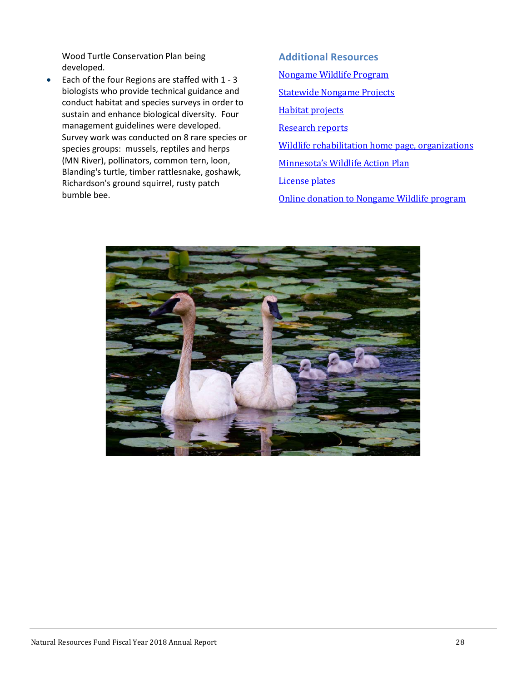Wood Turtle Conservation Plan being developed.

• Each of the four Regions are staffed with 1 - 3 biologists who provide technical guidance and conduct habitat and species surveys in order to sustain and enhance biological diversity. Four management guidelines were developed. Survey work was conducted on 8 rare species or species groups: mussels, reptiles and herps (MN River), pollinators, common tern, loon, Blanding's turtle, timber rattlesnake, goshawk, Richardson's ground squirrel, rusty patch bumble bee.

**Additional Resources** [Nongame Wildlife Program](http://www.dnr.state.mn.us/eco/nongame/index.html) [Statewide Nongame Projects](http://www.dnr.state.mn.us/eco/nongame/projects/index.html) [Habitat projects](http://www.dnr.state.mn.us/eco/nongame/land_preservation/index.html) [Research reports](http://www.dnr.state.mn.us/eco/nongame/projects/research_reports/index.html) [Wildlife rehabilitation home page, organizations](http://www.dnr.state.mn.us/eco/nongame/rehabilitation/organizations.html)  [Minnesota's Wildlife Action Plan](https://www.dnr.state.mn.us/mnwap/index.html) [License plates](http://www.dnr.state.mn.us/features/plates/index.html)

<span id="page-27-0"></span>[Online donation to Nongame Wildlife program](http://www.dnr.state.mn.us/eco/nongame/checkoff.html)

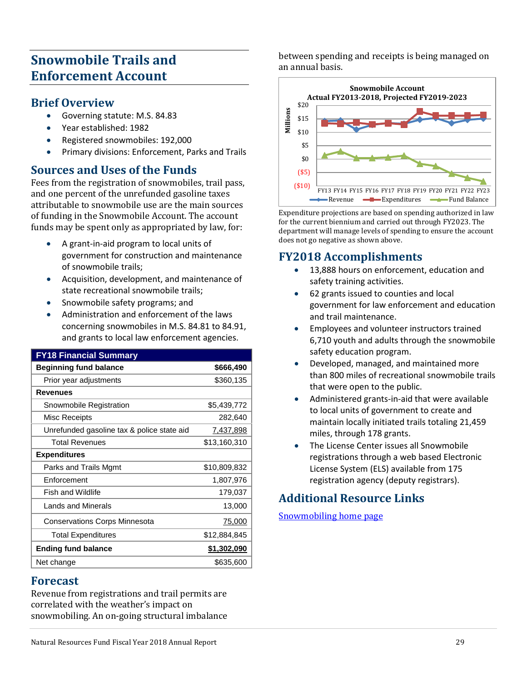# **Snowmobile Trails and Enforcement Account**

#### **Brief Overview**

- Governing statute: M.S. 84.83
- Year established: 1982
- Registered snowmobiles: 192,000
- Primary divisions: Enforcement, Parks and Trails

# **Sources and Uses of the Funds**

Fees from the registration of snowmobiles, trail pass, and one percent of the unrefunded gasoline taxes attributable to snowmobile use are the main sources of funding in the Snowmobile Account. The account funds may be spent only as appropriated by law, for:

- A grant-in-aid program to local units of government for construction and maintenance of snowmobile trails;
- Acquisition, development, and maintenance of state recreational snowmobile trails;
- Snowmobile safety programs; and
- Administration and enforcement of the laws concerning snowmobiles in M.S. 84.81 to 84.91, and grants to local law enforcement agencies.

| <b>FY18 Financial Summary</b>              |                  |
|--------------------------------------------|------------------|
| <b>Beginning fund balance</b>              | \$666,490        |
| Prior year adjustments                     | \$360,135        |
| <b>Revenues</b>                            |                  |
| Snowmobile Registration                    | \$5,439,772      |
| Misc Receipts                              | 282,640          |
| Unrefunded gasoline tax & police state aid | <u>7,437,898</u> |
| <b>Total Revenues</b>                      | \$13,160,310     |
| <b>Expenditures</b>                        |                  |
| Parks and Trails Mgmt                      | \$10,809,832     |
| Enforcement                                | 1,807,976        |
| <b>Fish and Wildlife</b>                   | 179,037          |
| <b>Lands and Minerals</b>                  | 13,000           |
| <b>Conservations Corps Minnesota</b>       | <u>75,000</u>    |
| <b>Total Expenditures</b>                  | \$12,884,845     |
| <b>Ending fund balance</b>                 | \$1,302,090      |
| Net change                                 | \$635,600        |

### **Forecast**

Revenue from registrations and trail permits are correlated with the weather's impact on snowmobiling. An on-going structural imbalance between spending and receipts is being managed on an annual basis.



Expenditure projections are based on spending authorized in law for the current biennium and carried out through FY2023. The department will manage levels of spending to ensure the account does not go negative as shown above.

### **FY2018 Accomplishments**

- 13,888 hours on enforcement, education and safety training activities.
- 62 grants issued to counties and local government for law enforcement and education and trail maintenance.
- Employees and volunteer instructors trained 6,710 youth and adults through the snowmobile safety education program.
- Developed, managed, and maintained more than 800 miles of recreational snowmobile trails that were open to the public.
- Administered grants-in-aid that were available to local units of government to create and maintain locally initiated trails totaling 21,459 miles, through 178 grants.
- The License Center issues all Snowmobile registrations through a web based Electronic License System (ELS) available from 175 registration agency (deputy registrars).

# <span id="page-28-0"></span>**Additional Resource Links**

[Snowmobiling home page](http://www.dnr.state.mn.us/snowmobiling/index.html)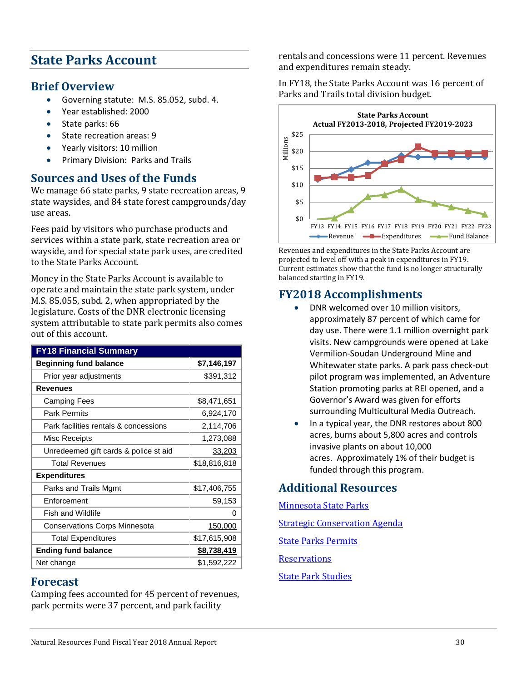# **State Parks Account**

### **Brief Overview**

- Governing statute: M.S. 85.052, subd. 4.
- Year established: 2000
- State parks: 66
- State recreation areas: 9
- Yearly visitors: 10 million
- Primary Division: Parks and Trails

# **Sources and Uses of the Funds**

We manage 66 state parks, 9 state recreation areas, 9 state waysides, and 84 state forest campgrounds/day use areas.

Fees paid by visitors who purchase products and services within a state park, state recreation area or wayside, and for special state park uses, are credited to the State Parks Account.

Money in the State Parks Account is available to operate and maintain the state park system, under M.S. 85.055, subd. 2, when appropriated by the legislature. Costs of the DNR electronic licensing system attributable to state park permits also comes out of this account.

| <b>FY18 Financial Summary</b>         |              |
|---------------------------------------|--------------|
| <b>Beginning fund balance</b>         | \$7,146,197  |
| Prior year adjustments                | \$391,312    |
| <b>Revenues</b>                       |              |
| Camping Fees                          | \$8,471,651  |
| <b>Park Permits</b>                   | 6,924,170    |
| Park facilities rentals & concessions | 2,114,706    |
| Misc Receipts                         | 1,273,088    |
| Unredeemed gift cards & police st aid | 33,203       |
| <b>Total Revenues</b>                 | \$18,816,818 |
| <b>Expenditures</b>                   |              |
| Parks and Trails Mgmt                 | \$17,406,755 |
| Enforcement                           | 59,153       |
| <b>Fish and Wildlife</b>              | 0            |
| <b>Conservations Corps Minnesota</b>  | 150,000      |
| <b>Total Expenditures</b>             | \$17,615,908 |
| <b>Ending fund balance</b>            | \$8,738,419  |
| Net change                            | \$1,592,222  |

#### **Forecast**

Camping fees accounted for 45 percent of revenues, park permits were 37 percent, and park facility

rentals and concessions were 11 percent. Revenues and expenditures remain steady.

In FY18, the State Parks Account was 16 percent of Parks and Trails total division budget.



Revenues and expenditures in the State Parks Account are projected to level off with a peak in expenditures in FY19. Current estimates show that the fund is no longer structurally balanced starting in FY19.

# **FY2018 Accomplishments**

- DNR welcomed over 10 million visitors, approximately 87 percent of which came for day use. There were 1.1 million overnight park visits. New campgrounds were opened at Lake Vermilion-Soudan Underground Mine and Whitewater state parks. A park pass check-out pilot program was implemented, an Adventure Station promoting parks at REI opened, and a Governor's Award was given for efforts surrounding Multicultural Media Outreach.
- In a typical year, the DNR restores about 800 acres, burns about 5,800 acres and controls invasive plants on about 10,000 acres. Approximately 1% of their budget is funded through this program.

# **Additional Resources**

<span id="page-29-0"></span>[Minnesota State Parks](http://www.dnr.state.mn.us/state_parks/index.html)  [Strategic Conservation Agenda](http://www.dnr.state.mn.us/conservationagenda/index.html)  [State Parks Permits](http://www.dnr.state.mn.us/state_parks/permit.html)  **Reservations** [State Park Studies](http://www.dnr.state.mn.us/aboutdnr/reports/index.html#parks)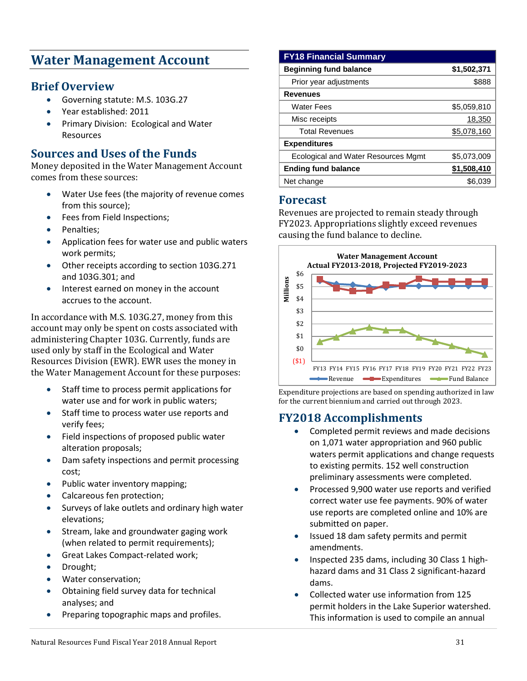# **Water Management Account**

### **Brief Overview**

- Governing statute: M.S. 103G.27
- Year established: 2011
- Primary Division: Ecological and Water Resources

### **Sources and Uses of the Funds**

Money deposited in the Water Management Account comes from these sources:

- Water Use fees (the majority of revenue comes from this source);
- Fees from Field Inspections;
- Penalties:
- Application fees for water use and public waters work permits;
- Other receipts according to section 103G.271 and 103G.301; and
- Interest earned on money in the account accrues to the account.

In accordance with M.S. 103G.27, money from this account may only be spent on costs associated with administering Chapter 103G. Currently, funds are used only by staff in the Ecological and Water Resources Division (EWR). EWR uses the money in the Water Management Account for these purposes:

- Staff time to process permit applications for water use and for work in public waters;
- Staff time to process water use reports and verify fees;
- Field inspections of proposed public water alteration proposals;
- Dam safety inspections and permit processing cost;
- Public water inventory mapping;
- Calcareous fen protection;
- Surveys of lake outlets and ordinary high water elevations;
- Stream, lake and groundwater gaging work (when related to permit requirements);
- Great Lakes Compact-related work;
- Drought;
- Water conservation;
- Obtaining field survey data for technical analyses; and
- Preparing topographic maps and profiles.

#### **FY18 Financial Summary Beginning fund balance \$1,502,371**  Prior year adjustments \$888 **Revenues** Water Fees \$5,059,810 Misc receipts 18,350 Total Revenues **\$5,078,160 Expenditures** Ecological and Water Resources Mgmt \$5,073,009 **Ending fund balance \$1,508,410**  Net change  $\$6,039$

#### **Forecast**

Revenues are projected to remain steady through FY2023. Appropriations slightly exceed revenues causing the fund balance to decline.



Expenditure projections are based on spending authorized in law for the current biennium and carried out through 2023.

# **FY2018 Accomplishments**

- Completed permit reviews and made decisions on 1,071 water appropriation and 960 public waters permit applications and change requests to existing permits. 152 well construction preliminary assessments were completed.
- Processed 9,900 water use reports and verified correct water use fee payments. 90% of water use reports are completed online and 10% are submitted on paper.
- Issued 18 dam safety permits and permit amendments.
- Inspected 235 dams, including 30 Class 1 highhazard dams and 31 Class 2 significant-hazard dams.
- Collected water use information from 125 permit holders in the Lake Superior watershed. This information is used to compile an annual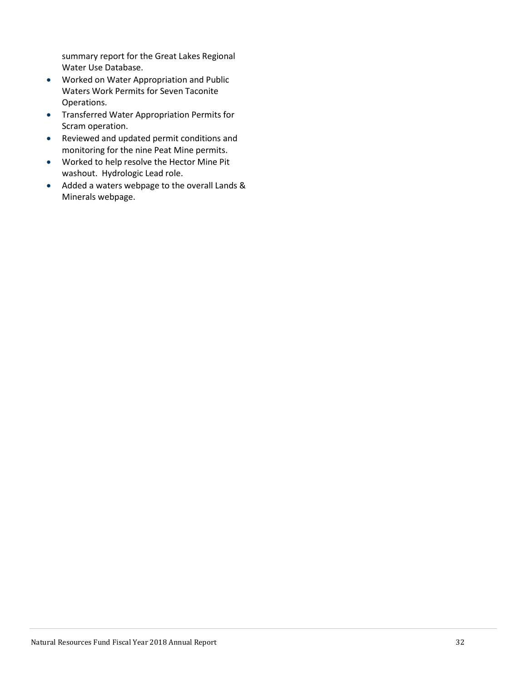<span id="page-31-0"></span>summary report for the Great Lakes Regional Water Use Database.

- Worked on Water Appropriation and Public Waters Work Permits for Seven Taconite Operations.
- Transferred Water Appropriation Permits for Scram operation.
- Reviewed and updated permit conditions and monitoring for the nine Peat Mine permits.
- Worked to help resolve the Hector Mine Pit washout. Hydrologic Lead role.
- Added a waters webpage to the overall Lands & Minerals webpage.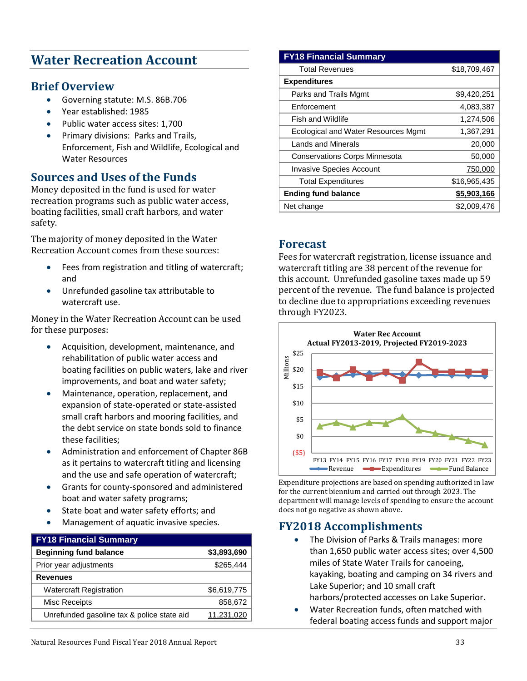# **Water Recreation Account**

### **Brief Overview**

- Governing statute: M.S. 86B.706
- Year established: 1985
- Public water access sites: 1,700
- Primary divisions: Parks and Trails, Enforcement, Fish and Wildlife, Ecological and Water Resources

# **Sources and Uses of the Funds**

Money deposited in the fund is used for water recreation programs such as public water access, boating facilities, small craft harbors, and water safety.

The majority of money deposited in the Water Recreation Account comes from these sources:

- Fees from registration and titling of watercraft; and
- Unrefunded gasoline tax attributable to watercraft use.

Money in the Water Recreation Account can be used for these purposes:

- Acquisition, development, maintenance, and rehabilitation of public water access and boating facilities on public waters, lake and river improvements, and boat and water safety;
- Maintenance, operation, replacement, and expansion of state-operated or state-assisted small craft harbors and mooring facilities, and the debt service on state bonds sold to finance these facilities;
- Administration and enforcement of Chapter 86B as it pertains to watercraft titling and licensing and the use and safe operation of watercraft;
- Grants for county-sponsored and administered boat and water safety programs;
- State boat and water safety efforts; and
- Management of aquatic invasive species.

| <b>FY18 Financial Summary</b>              |             |
|--------------------------------------------|-------------|
| <b>Beginning fund balance</b>              | \$3,893,690 |
| Prior year adjustments                     | \$265,444   |
| <b>Revenues</b>                            |             |
| <b>Watercraft Registration</b>             | \$6,619,775 |
| Misc Receipts                              | 858,672     |
| Unrefunded gasoline tax & police state aid | 11,231,020  |

#### **FY18 Financial Summary**

| <b>Total Revenues</b>                | \$18,709,467 |
|--------------------------------------|--------------|
| <b>Expenditures</b>                  |              |
| Parks and Trails Mgmt                | \$9,420,251  |
| Enforcement                          | 4,083,387    |
| <b>Fish and Wildlife</b>             | 1,274,506    |
| Ecological and Water Resources Mgmt  | 1,367,291    |
| <b>Lands and Minerals</b>            | 20,000       |
| <b>Conservations Corps Minnesota</b> | 50,000       |
| <b>Invasive Species Account</b>      | 750,000      |
| <b>Total Expenditures</b>            | \$16,965,435 |
| <b>Ending fund balance</b>           | \$5,903,166  |
| Net change                           | \$2,009.476  |

#### **Forecast**

Fees for watercraft registration, license issuance and watercraft titling are 38 percent of the revenue for this account. Unrefunded gasoline taxes made up 59 percent of the revenue. The fund balance is projected to decline due to appropriations exceeding revenues through FY2023.



Expenditure projections are based on spending authorized in law for the current biennium and carried out through 2023. The department will manage levels of spending to ensure the account does not go negative as shown above.

### **FY2018 Accomplishments**

- The Division of Parks & Trails manages: more than 1,650 public water access sites; over 4,500 miles of State Water Trails for canoeing, kayaking, boating and camping on 34 rivers and Lake Superior; and 10 small craft harbors/protected accesses on Lake Superior.
- Water Recreation funds, often matched with federal boating access funds and support major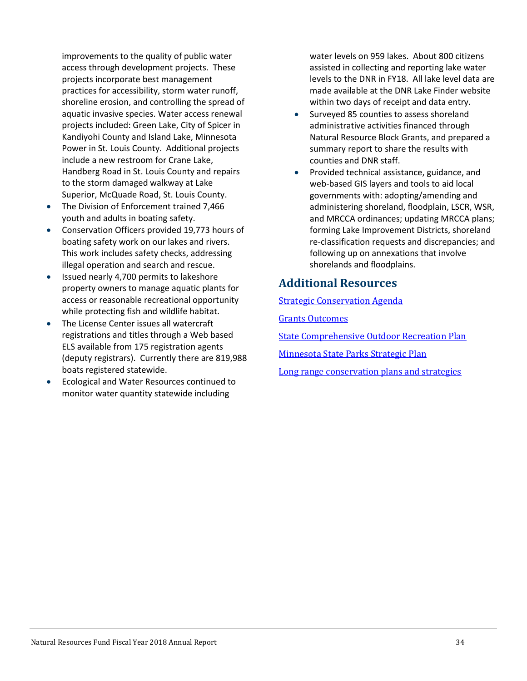improvements to the quality of public water access through development projects. These projects incorporate best management practices for accessibility, storm water runoff, shoreline erosion, and controlling the spread of aquatic invasive species. Water access renewal projects included: Green Lake, City of Spicer in Kandiyohi County and Island Lake, Minnesota Power in St. Louis County. Additional projects include a new restroom for Crane Lake, Handberg Road in St. Louis County and repairs to the storm damaged walkway at Lake Superior, McQuade Road, St. Louis County.

- The Division of Enforcement trained 7,466 youth and adults in boating safety.
- Conservation Officers provided 19,773 hours of boating safety work on our lakes and rivers. This work includes safety checks, addressing illegal operation and search and rescue.
- Issued nearly 4,700 permits to lakeshore property owners to manage aquatic plants for access or reasonable recreational opportunity while protecting fish and wildlife habitat.
- The License Center issues all watercraft registrations and titles through a Web based ELS available from 175 registration agents (deputy registrars). Currently there are 819,988 boats registered statewide.
- Ecological and Water Resources continued to monitor water quantity statewide including

water levels on 959 lakes. About 800 citizens assisted in collecting and reporting lake water levels to the DNR in FY18. All lake level data are made available at the DNR Lake Finder website within two days of receipt and data entry.

- Surveyed 85 counties to assess shoreland administrative activities financed through Natural Resource Block Grants, and prepared a summary report to share the results with counties and DNR staff.
- Provided technical assistance, guidance, and web-based GIS layers and tools to aid local governments with: adopting/amending and administering shoreland, floodplain, LSCR, WSR, and MRCCA ordinances; updating MRCCA plans; forming Lake Improvement Districts, shoreland re-classification requests and discrepancies; and following up on annexations that involve shorelands and floodplains.

# **Additional Resources**

[Strategic Conservation Agenda](http://www.dnr.state.mn.us/conservationagenda/index.html) 

[Grants Outcomes](https://www.dnr.state.mn.us/grants/outcomes/index.html)

[State Comprehensive Outdoor Recreation Plan](http://www.dnr.state.mn.us/aboutdnr/reports/scorp/index.html)

[Minnesota State Parks Strategic Plan](https://www.dnr.state.mn.us/input/mgmtplans/strategic_plan/10year_2.html)

[Long range conservation plans and strategies](http://www.dnr.state.mn.us/strategies/index.html)